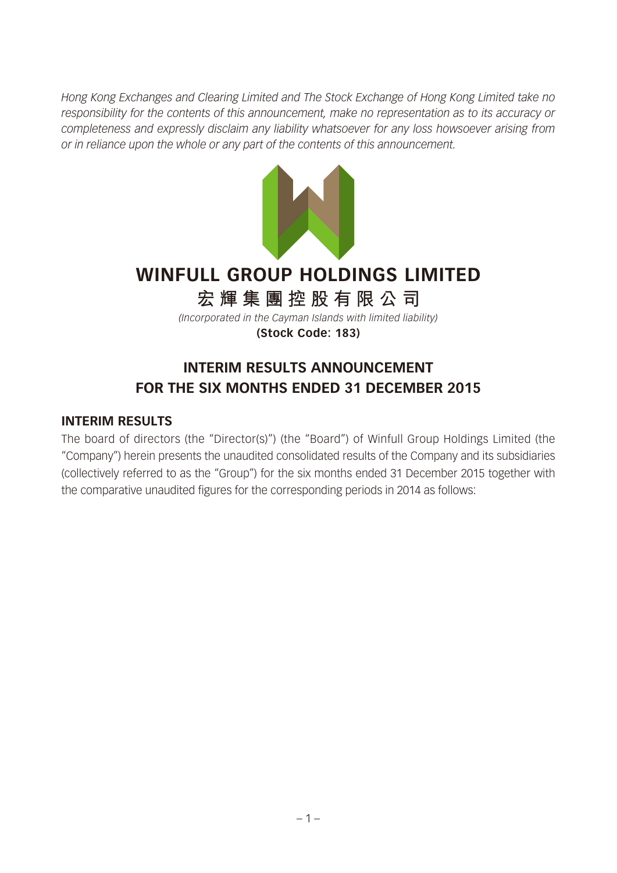*Hong Kong Exchanges and Clearing Limited and The Stock Exchange of Hong Kong Limited take no responsibility for the contents of this announcement, make no representation as to its accuracy or completeness and expressly disclaim any liability whatsoever for any loss howsoever arising from or in reliance upon the whole or any part of the contents of this announcement.*



# **WINFULL GROUP HOLDINGS LIMITED**

# **宏輝集團控股有限公司**

*(Incorporated in the Cayman Islands with limited liability)* **(Stock Code: 183)**

## **INTERIM RESULTS ANNOUNCEMENT FOR THE SIX MONTHS ENDED 31 DECEMBER 2015**

#### **INTERIM RESULTS**

The board of directors (the "Director(s)") (the "Board") of Winfull Group Holdings Limited (the "Company") herein presents the unaudited consolidated results of the Company and its subsidiaries (collectively referred to as the "Group") for the six months ended 31 December 2015 together with the comparative unaudited figures for the corresponding periods in 2014 as follows: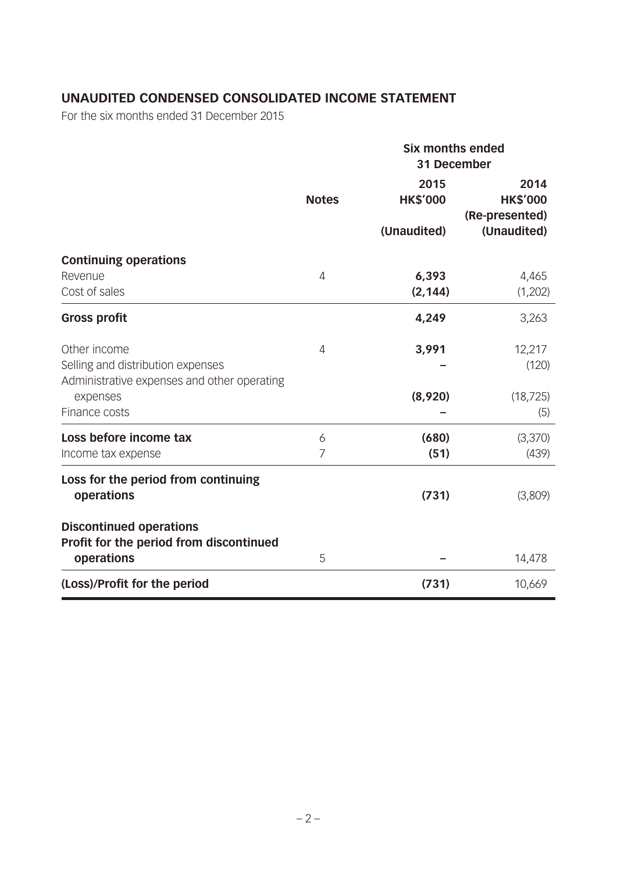## **UNAUDITED CONDENSED CONSOLIDATED INCOME STATEMENT**

|                                                                                                              |                | <b>Six months ended</b><br>31 December |                                                          |  |
|--------------------------------------------------------------------------------------------------------------|----------------|----------------------------------------|----------------------------------------------------------|--|
|                                                                                                              | <b>Notes</b>   | 2015<br><b>HK\$'000</b><br>(Unaudited) | 2014<br><b>HK\$'000</b><br>(Re-presented)<br>(Unaudited) |  |
| <b>Continuing operations</b><br>Revenue<br>Cost of sales                                                     | 4              | 6,393<br>(2, 144)                      | 4,465<br>(1,202)                                         |  |
| <b>Gross profit</b>                                                                                          |                | 4,249                                  | 3,263                                                    |  |
| Other income<br>Selling and distribution expenses<br>Administrative expenses and other operating<br>expenses | $\overline{4}$ | 3,991<br>(8,920)                       | 12,217<br>(120)<br>(18, 725)                             |  |
| Finance costs                                                                                                |                |                                        | (5)                                                      |  |
| Loss before income tax<br>Income tax expense                                                                 | 6<br>7         | (680)<br>(51)                          | (3,370)<br>(439)                                         |  |
| Loss for the period from continuing<br>operations                                                            |                | (731)                                  | (3,809)                                                  |  |
| <b>Discontinued operations</b><br>Profit for the period from discontinued<br>operations                      | 5              |                                        | 14,478                                                   |  |
| (Loss)/Profit for the period                                                                                 |                | (731)                                  | 10,669                                                   |  |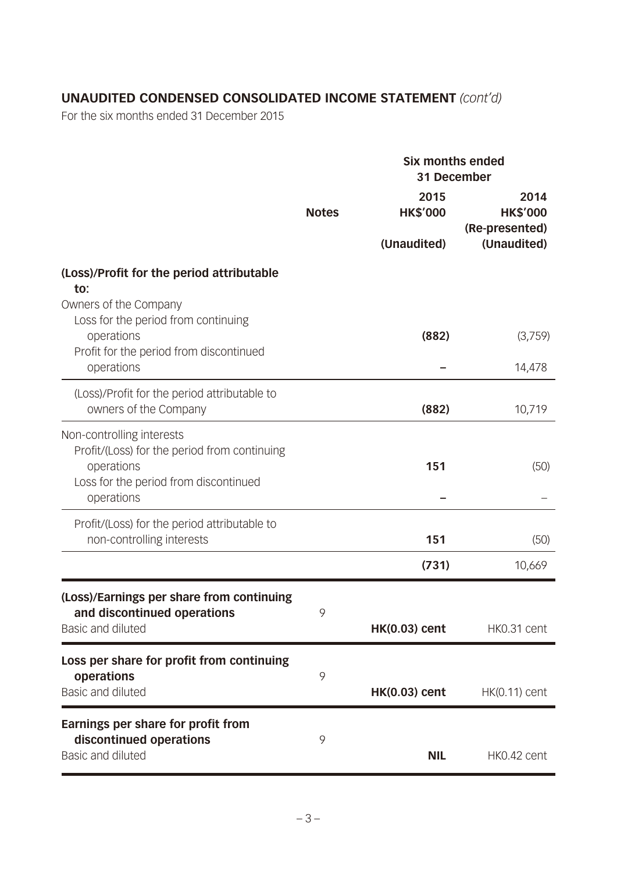## **UNAUDITED CONDENSED CONSOLIDATED INCOME STATEMENT** *(cont'd)*

|                                                                                                                       |              | <b>Six months ended</b><br>31 December |                                           |  |
|-----------------------------------------------------------------------------------------------------------------------|--------------|----------------------------------------|-------------------------------------------|--|
|                                                                                                                       | <b>Notes</b> | 2015<br><b>HK\$'000</b>                | 2014<br><b>HK\$'000</b><br>(Re-presented) |  |
|                                                                                                                       |              | (Unaudited)                            | (Unaudited)                               |  |
| (Loss)/Profit for the period attributable<br>to:                                                                      |              |                                        |                                           |  |
| Owners of the Company<br>Loss for the period from continuing<br>operations<br>Profit for the period from discontinued |              | (882)                                  | (3,759)                                   |  |
| operations                                                                                                            |              |                                        | 14,478                                    |  |
| (Loss)/Profit for the period attributable to<br>owners of the Company                                                 |              | (882)                                  | 10,719                                    |  |
| Non-controlling interests<br>Profit/(Loss) for the period from continuing<br>operations                               |              | 151                                    | (50)                                      |  |
| Loss for the period from discontinued<br>operations                                                                   |              |                                        |                                           |  |
| Profit/(Loss) for the period attributable to<br>non-controlling interests                                             |              | 151                                    | (50)                                      |  |
|                                                                                                                       |              | (731)                                  | 10,669                                    |  |
| (Loss)/Earnings per share from continuing<br>and discontinued operations                                              | 9            |                                        |                                           |  |
| Basic and diluted                                                                                                     |              | <b>HK(0.03) cent</b>                   | HK0.31 cent                               |  |
| Loss per share for profit from continuing<br>operations                                                               | 9            |                                        |                                           |  |
| Basic and diluted                                                                                                     |              | <b>HK(0.03) cent</b>                   | $HK(0.11)$ cent                           |  |
| Earnings per share for profit from<br>discontinued operations<br>Basic and diluted                                    | 9            |                                        |                                           |  |
|                                                                                                                       |              | <b>NIL</b>                             | HK0.42 cent                               |  |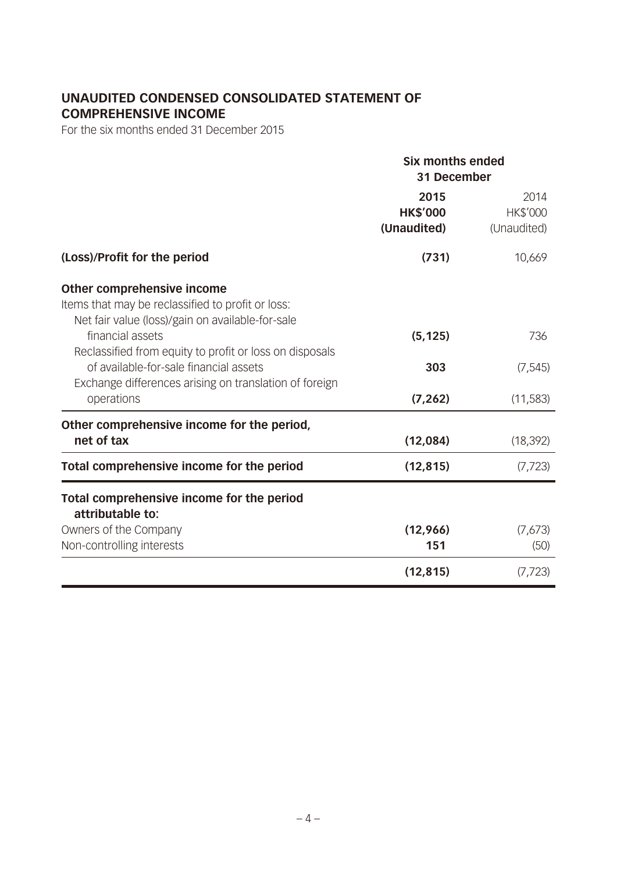## **UNAUDITED CONDENSED CONSOLIDATED STATEMENT OF COMPREHENSIVE INCOME**

|                                                                                                   | <b>Six months ended</b><br>31 December |                         |  |
|---------------------------------------------------------------------------------------------------|----------------------------------------|-------------------------|--|
|                                                                                                   | 2015<br><b>HK\$'000</b>                | 2014<br><b>HK\$'000</b> |  |
|                                                                                                   | (Unaudited)                            | (Unaudited)             |  |
| (Loss)/Profit for the period                                                                      | (731)                                  | 10,669                  |  |
| Other comprehensive income<br>Items that may be reclassified to profit or loss:                   |                                        |                         |  |
| Net fair value (loss)/gain on available-for-sale                                                  |                                        |                         |  |
| financial assets                                                                                  | (5, 125)                               | 736                     |  |
| Reclassified from equity to profit or loss on disposals<br>of available-for-sale financial assets | 303                                    | (7, 545)                |  |
| Exchange differences arising on translation of foreign<br>operations                              | (7, 262)                               | (11,583)                |  |
| Other comprehensive income for the period,                                                        |                                        |                         |  |
| net of tax                                                                                        | (12,084)                               | (18, 392)               |  |
| Total comprehensive income for the period                                                         | (12, 815)                              | (7, 723)                |  |
| Total comprehensive income for the period<br>attributable to:                                     |                                        |                         |  |
| Owners of the Company                                                                             | (12,966)                               | (7,673)                 |  |
| Non-controlling interests                                                                         | 151                                    | (50)                    |  |
|                                                                                                   | (12, 815)                              | (7, 723)                |  |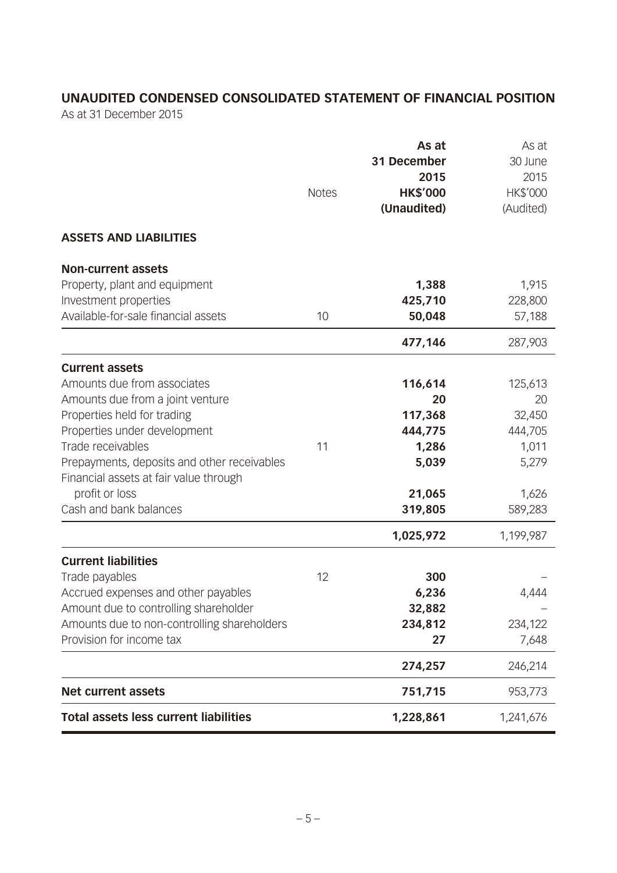## **UNAUDITED CONDENSED CONSOLIDATED STATEMENT OF FINANCIAL POSITION**

As at 31 December 2015

|                                              | <b>Notes</b> | As at<br>31 December<br>2015<br><b>HK\$'000</b><br>(Unaudited) | As at<br>30 June<br>2015<br>HK\$'000<br>(Audited) |
|----------------------------------------------|--------------|----------------------------------------------------------------|---------------------------------------------------|
| <b>ASSETS AND LIABILITIES</b>                |              |                                                                |                                                   |
| <b>Non-current assets</b>                    |              |                                                                |                                                   |
| Property, plant and equipment                |              | 1,388                                                          | 1,915                                             |
| Investment properties                        |              | 425,710                                                        | 228,800                                           |
| Available-for-sale financial assets          | 10           | 50,048                                                         | 57,188                                            |
|                                              |              | 477,146                                                        | 287,903                                           |
| <b>Current assets</b>                        |              |                                                                |                                                   |
| Amounts due from associates                  |              | 116,614                                                        | 125,613                                           |
| Amounts due from a joint venture             |              | 20                                                             | 20                                                |
| Properties held for trading                  |              | 117,368                                                        | 32,450                                            |
| Properties under development                 |              | 444,775                                                        | 444,705                                           |
| Trade receivables                            | 11           | 1,286                                                          | 1,011                                             |
| Prepayments, deposits and other receivables  |              | 5,039                                                          | 5,279                                             |
| Financial assets at fair value through       |              |                                                                |                                                   |
| profit or loss                               |              | 21,065                                                         | 1,626                                             |
| Cash and bank balances                       |              | 319,805                                                        | 589,283                                           |
|                                              |              | 1,025,972                                                      | 1,199,987                                         |
| <b>Current liabilities</b>                   |              |                                                                |                                                   |
| Trade payables                               | 12           | 300                                                            |                                                   |
| Accrued expenses and other payables          |              | 6,236                                                          | 4,444                                             |
| Amount due to controlling shareholder        |              | 32,882                                                         |                                                   |
| Amounts due to non-controlling shareholders  |              | 234,812                                                        | 234,122                                           |
| Provision for income tax                     |              | 27                                                             | 7,648                                             |
|                                              |              | 274,257                                                        | 246,214                                           |
| <b>Net current assets</b>                    |              | 751,715                                                        | 953,773                                           |
| <b>Total assets less current liabilities</b> |              | 1,228,861                                                      | 1,241,676                                         |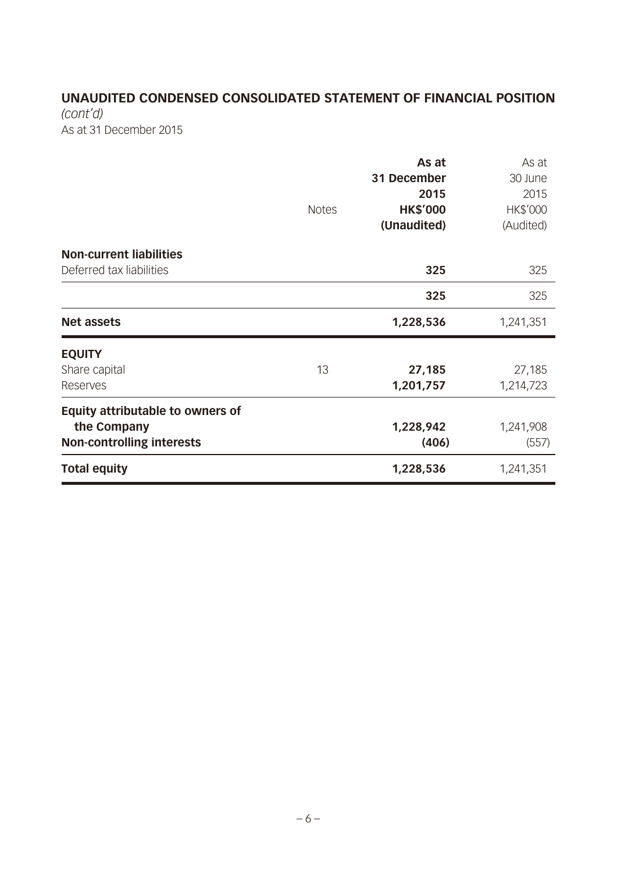## **UNAUDITED CONDENSED CONSOLIDATED STATEMENT OF FINANCIAL POSITION**

*(cont'd)* As at 31 December 2015

|                                         | <b>Notes</b> | As at<br>31 December<br>2015<br><b>HK\$'000</b><br>(Unaudited) | As at<br>30 June<br>2015<br>HK\$'000<br>(Audited) |
|-----------------------------------------|--------------|----------------------------------------------------------------|---------------------------------------------------|
| <b>Non-current liabilities</b>          |              |                                                                |                                                   |
| Deferred tax liabilities                |              | 325                                                            | 325                                               |
|                                         |              | 325                                                            | 325                                               |
| <b>Net assets</b>                       |              | 1,228,536                                                      | 1,241,351                                         |
| <b>EQUITY</b>                           |              |                                                                |                                                   |
| Share capital                           | 13           | 27,185                                                         | 27,185                                            |
| Reserves                                |              | 1,201,757                                                      | 1,214,723                                         |
| <b>Equity attributable to owners of</b> |              |                                                                |                                                   |
| the Company                             |              | 1,228,942                                                      | 1,241,908                                         |
| <b>Non-controlling interests</b>        |              | (406)                                                          | (557)                                             |
| <b>Total equity</b>                     |              | 1,228,536                                                      | 1,241,351                                         |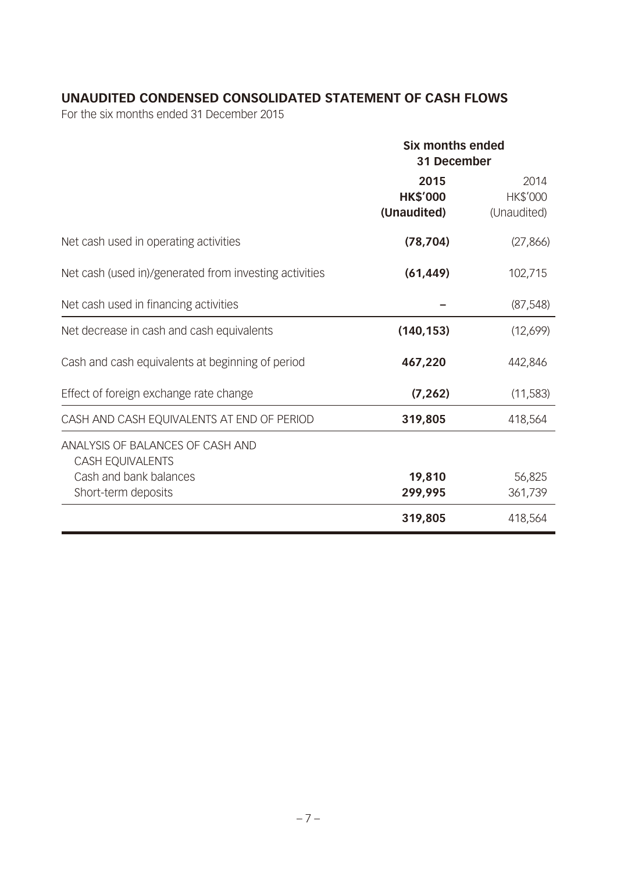## **UNAUDITED CONDENSED CONSOLIDATED STATEMENT OF CASH FLOWS**

|                                                                                                              | <b>Six months ended</b><br>31 December |                                 |  |
|--------------------------------------------------------------------------------------------------------------|----------------------------------------|---------------------------------|--|
|                                                                                                              | 2015<br><b>HK\$'000</b><br>(Unaudited) | 2014<br>HK\$'000<br>(Unaudited) |  |
| Net cash used in operating activities                                                                        | (78, 704)                              | (27, 866)                       |  |
| Net cash (used in)/generated from investing activities                                                       | (61, 449)                              | 102,715                         |  |
| Net cash used in financing activities                                                                        |                                        | (87, 548)                       |  |
| Net decrease in cash and cash equivalents                                                                    | (140, 153)                             | (12,699)                        |  |
| Cash and cash equivalents at beginning of period                                                             | 467,220                                | 442,846                         |  |
| Effect of foreign exchange rate change                                                                       | (7, 262)                               | (11,583)                        |  |
| CASH AND CASH EQUIVALENTS AT END OF PERIOD                                                                   | 319,805                                | 418,564                         |  |
| ANALYSIS OF BALANCES OF CASH AND<br><b>CASH EQUIVALENTS</b><br>Cash and bank balances<br>Short-term deposits | 19,810<br>299,995                      | 56,825<br>361,739               |  |
|                                                                                                              | 319,805                                | 418,564                         |  |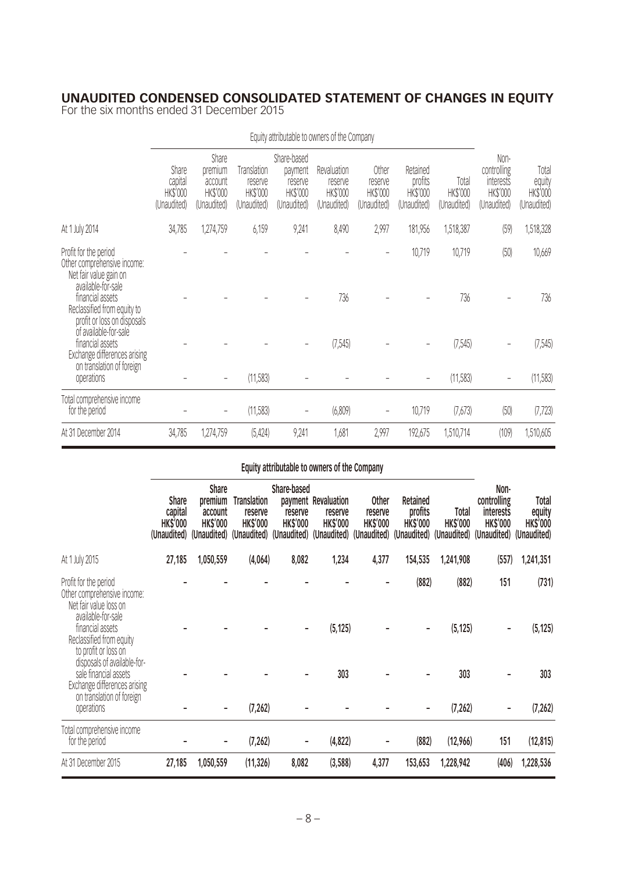#### **UNAUDITED CONDENSED CONSOLIDATED STATEMENT OF CHANGES IN EQUITY**

For the six months ended 31 December 2015

|                                                                                                         | Equity attributable to owners of the Company |                                                        |                                                   |                                                              |                                                   |                                             |                                                       |                                  |                                                             |                                            |
|---------------------------------------------------------------------------------------------------------|----------------------------------------------|--------------------------------------------------------|---------------------------------------------------|--------------------------------------------------------------|---------------------------------------------------|---------------------------------------------|-------------------------------------------------------|----------------------------------|-------------------------------------------------------------|--------------------------------------------|
|                                                                                                         | Share<br>capital<br>HK\$'000<br>(Unaudited)  | Share<br>premium<br>account<br>HK\$'000<br>(Unaudited) | Translation<br>reserve<br>HK\$'000<br>(Unaudited) | Share-based<br>payment<br>reserve<br>HK\$'000<br>(Unaudited) | Revaluation<br>reserve<br>HK\$'000<br>(Unaudited) | Other<br>reserve<br>HK\$'000<br>(Unaudited) | Retained<br>profits<br><b>HK\$'000</b><br>(Unaudited) | Total<br>HK\$'000<br>(Unaudited) | Non-<br>controlling<br>interests<br>HK\$'000<br>(Unaudited) | Total<br>equity<br>HK\$'000<br>(Unaudited) |
| At 1 July 2014                                                                                          | 34,785                                       | 1,274,759                                              | 6,159                                             | 9,241                                                        | 8,490                                             | 2,997                                       | 181,956                                               | 1,518,387                        | (59)                                                        | 1,518,328                                  |
| Profit for the period<br>Other comprehensive income:<br>Net fair value gain on<br>available-for-sale    |                                              |                                                        |                                                   |                                                              |                                                   |                                             | 10,719                                                | 10,719                           | (50)                                                        | 10,669                                     |
| financial assets<br>Reclassified from equity to<br>profit or loss on disposals<br>of available-for-sale |                                              |                                                        |                                                   |                                                              | 736                                               |                                             |                                                       | 736                              |                                                             | 736                                        |
| financial assets<br>Exchange differences arising<br>on translation of foreign                           |                                              |                                                        |                                                   |                                                              | (7, 545)                                          |                                             |                                                       | (7, 545)                         |                                                             | (7, 545)                                   |
| operations                                                                                              |                                              |                                                        | (11, 583)                                         |                                                              |                                                   |                                             |                                                       | (11,583)                         | $\overline{\phantom{a}}$                                    | (11, 583)                                  |
| Total comprehensive income<br>for the period                                                            |                                              |                                                        | (11, 583)                                         | $\qquad \qquad -$                                            | (6,809)                                           | -                                           | 10,719                                                | (7,673)                          | (50)                                                        | (7, 723)                                   |
| At 31 December 2014                                                                                     | 34,785                                       | 1,274,759                                              | (5, 424)                                          | 9,241                                                        | 1,681                                             | 2,997                                       | 192,675                                               | 1,510,714                        | (109)                                                       | 1,510,605                                  |

## **Equity attributable to owners of the Company**

|                                                                                                                   | <b>Share</b><br>capital<br><b>HK\$'000</b> | <b>Share</b><br>premium<br>account<br><b>HK\$'000</b> | <b>Translation</b><br>reserve<br><b>HK\$'000</b><br>(Unaudited) (Unaudited) (Unaudited) (Unaudited) (Unaudited) (Unaudited) | Share-based<br>reserve<br><b>HK\$'000</b> | payment Revaluation<br>reserve<br><b>HK\$'000</b> | <b>Other</b><br>reserve<br><b>HK\$'000</b> | Retained<br>profits<br><b>HK\$'000</b><br>(Unaudited) | Total<br><b>HK\$'000</b><br>(Unaudited) | Non-<br>controlling<br><b>interests</b><br><b>HK\$'000</b><br>(Unaudited) | Total<br>equity<br><b>HK\$'000</b><br>(Unaudited) |
|-------------------------------------------------------------------------------------------------------------------|--------------------------------------------|-------------------------------------------------------|-----------------------------------------------------------------------------------------------------------------------------|-------------------------------------------|---------------------------------------------------|--------------------------------------------|-------------------------------------------------------|-----------------------------------------|---------------------------------------------------------------------------|---------------------------------------------------|
| At 1 July 2015                                                                                                    | 27,185                                     | 1,050,559                                             | (4,064)                                                                                                                     | 8,082                                     | 1,234                                             | 4,377                                      | 154,535                                               | 1,241,908                               | (557)                                                                     | 1,241,351                                         |
| Profit for the period<br>Other comprehensive income:<br>Net fair value loss on<br>available-for-sale              |                                            |                                                       |                                                                                                                             |                                           |                                                   |                                            | (882)                                                 | (882)                                   | 151                                                                       | (731)                                             |
| financial assets<br>Reclassified from equity<br>to profit or loss on                                              |                                            |                                                       |                                                                                                                             |                                           | (5, 125)                                          |                                            |                                                       | (5, 125)                                |                                                                           | (5, 125)                                          |
| disposals of available-for-<br>sale financial assets<br>Exchange differences arising<br>on translation of foreign |                                            |                                                       |                                                                                                                             |                                           | 303                                               |                                            |                                                       | 303                                     |                                                                           | 303                                               |
| operations                                                                                                        |                                            |                                                       | (7, 262)                                                                                                                    |                                           |                                                   |                                            |                                                       | (7, 262)                                |                                                                           | (7, 262)                                          |
| Total comprehensive income<br>for the period                                                                      |                                            |                                                       | (7, 262)                                                                                                                    |                                           | (4,822)                                           |                                            | (882)                                                 | (12,966)                                | 151                                                                       | (12, 815)                                         |
| At 31 December 2015                                                                                               | 27,185                                     | 1,050,559                                             | (11, 326)                                                                                                                   | 8,082                                     | (3,588)                                           | 4,377                                      | 153,653                                               | 1,228,942                               | (406)                                                                     | 1,228,536                                         |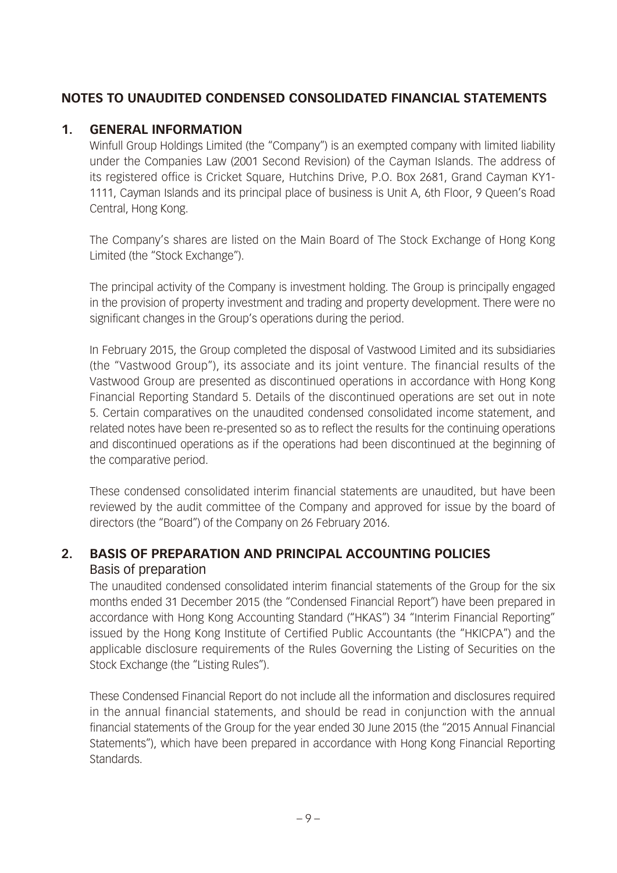## **NOTES TO UNAUDITED CONDENSED CONSOLIDATED FINANCIAL STATEMENTS**

#### **1. GENERAL INFORMATION**

Winfull Group Holdings Limited (the "Company") is an exempted company with limited liability under the Companies Law (2001 Second Revision) of the Cayman Islands. The address of its registered office is Cricket Square, Hutchins Drive, P.O. Box 2681, Grand Cayman KY1- 1111, Cayman Islands and its principal place of business is Unit A, 6th Floor, 9 Queen's Road Central, Hong Kong.

The Company's shares are listed on the Main Board of The Stock Exchange of Hong Kong Limited (the "Stock Exchange").

The principal activity of the Company is investment holding. The Group is principally engaged in the provision of property investment and trading and property development. There were no significant changes in the Group's operations during the period.

In February 2015, the Group completed the disposal of Vastwood Limited and its subsidiaries (the "Vastwood Group"), its associate and its joint venture. The financial results of the Vastwood Group are presented as discontinued operations in accordance with Hong Kong Financial Reporting Standard 5. Details of the discontinued operations are set out in note 5. Certain comparatives on the unaudited condensed consolidated income statement, and related notes have been re-presented so as to reflect the results for the continuing operations and discontinued operations as if the operations had been discontinued at the beginning of the comparative period.

These condensed consolidated interim financial statements are unaudited, but have been reviewed by the audit committee of the Company and approved for issue by the board of directors (the "Board") of the Company on 26 February 2016.

### **2. BASIS OF PREPARATION AND PRINCIPAL ACCOUNTING POLICIES** Basis of preparation

The unaudited condensed consolidated interim financial statements of the Group for the six months ended 31 December 2015 (the "Condensed Financial Report") have been prepared in accordance with Hong Kong Accounting Standard ("HKAS") 34 "Interim Financial Reporting" issued by the Hong Kong Institute of Certified Public Accountants (the "HKICPA") and the applicable disclosure requirements of the Rules Governing the Listing of Securities on the Stock Exchange (the "Listing Rules").

These Condensed Financial Report do not include all the information and disclosures required in the annual financial statements, and should be read in conjunction with the annual financial statements of the Group for the year ended 30 June 2015 (the "2015 Annual Financial Statements"), which have been prepared in accordance with Hong Kong Financial Reporting Standards.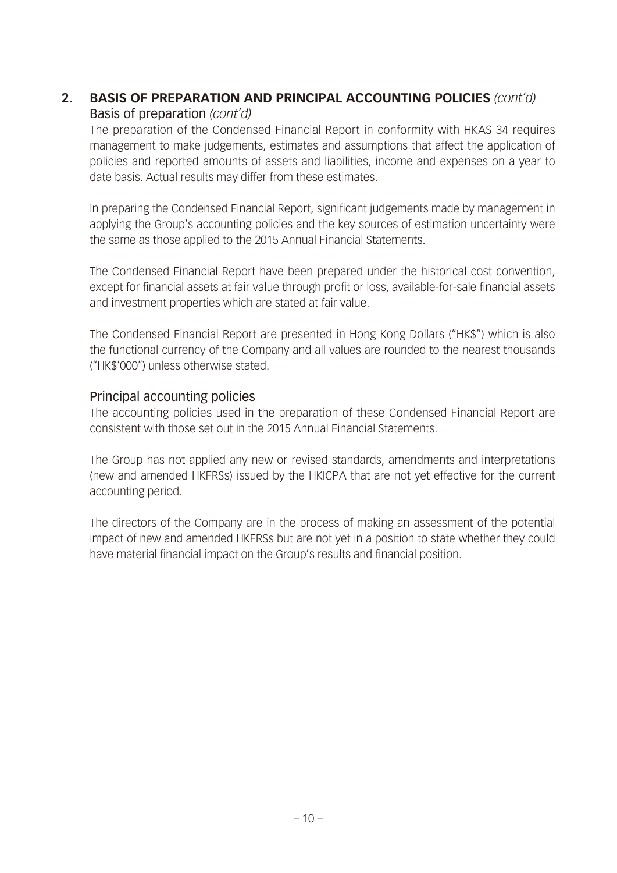## **2. BASIS OF PREPARATION AND PRINCIPAL ACCOUNTING POLICIES** *(cont'd)* Basis of preparation *(cont'd)*

The preparation of the Condensed Financial Report in conformity with HKAS 34 requires management to make judgements, estimates and assumptions that affect the application of policies and reported amounts of assets and liabilities, income and expenses on a year to date basis. Actual results may differ from these estimates.

In preparing the Condensed Financial Report, significant judgements made by management in applying the Group's accounting policies and the key sources of estimation uncertainty were the same as those applied to the 2015 Annual Financial Statements.

The Condensed Financial Report have been prepared under the historical cost convention, except for financial assets at fair value through profit or loss, available-for-sale financial assets and investment properties which are stated at fair value.

The Condensed Financial Report are presented in Hong Kong Dollars ("HK\$") which is also the functional currency of the Company and all values are rounded to the nearest thousands ("HK\$'000") unless otherwise stated.

#### Principal accounting policies

The accounting policies used in the preparation of these Condensed Financial Report are consistent with those set out in the 2015 Annual Financial Statements.

The Group has not applied any new or revised standards, amendments and interpretations (new and amended HKFRSs) issued by the HKICPA that are not yet effective for the current accounting period.

The directors of the Company are in the process of making an assessment of the potential impact of new and amended HKFRSs but are not yet in a position to state whether they could have material financial impact on the Group's results and financial position.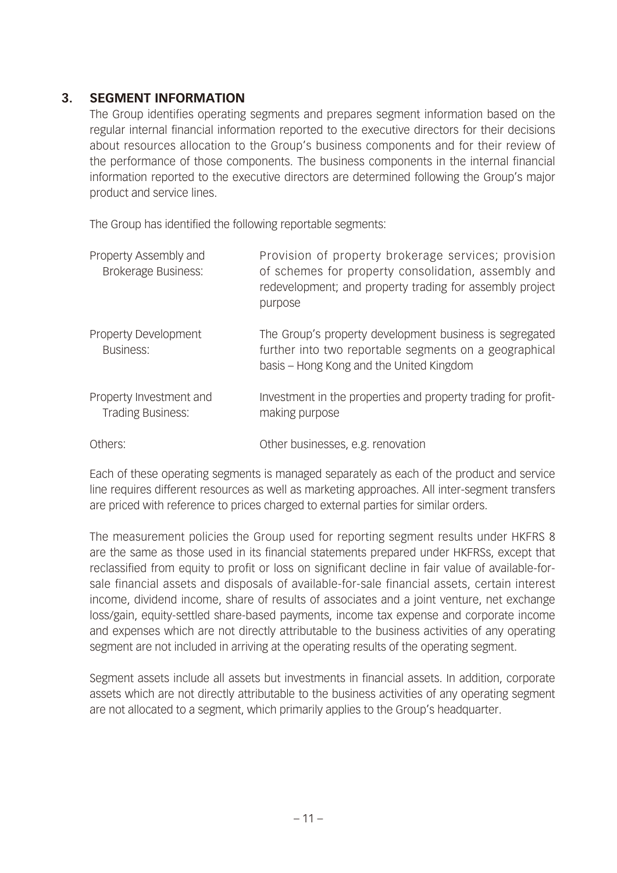#### **3. SEGMENT INFORMATION**

The Group identifies operating segments and prepares segment information based on the regular internal financial information reported to the executive directors for their decisions about resources allocation to the Group's business components and for their review of the performance of those components. The business components in the internal financial information reported to the executive directors are determined following the Group's major product and service lines.

The Group has identified the following reportable segments:

| Property Assembly and<br><b>Brokerage Business:</b> | Provision of property brokerage services; provision<br>of schemes for property consolidation, assembly and<br>redevelopment; and property trading for assembly project<br>purpose |
|-----------------------------------------------------|-----------------------------------------------------------------------------------------------------------------------------------------------------------------------------------|
| Property Development<br><b>Business:</b>            | The Group's property development business is segregated<br>further into two reportable segments on a geographical<br>basis – Hong Kong and the United Kingdom                     |
| Property Investment and<br>Trading Business:        | Investment in the properties and property trading for profit-<br>making purpose                                                                                                   |
| Others:                                             | Other businesses, e.g. renovation                                                                                                                                                 |

Each of these operating segments is managed separately as each of the product and service line requires different resources as well as marketing approaches. All inter-segment transfers are priced with reference to prices charged to external parties for similar orders.

The measurement policies the Group used for reporting segment results under HKFRS 8 are the same as those used in its financial statements prepared under HKFRSs, except that reclassified from equity to profit or loss on significant decline in fair value of available-forsale financial assets and disposals of available-for-sale financial assets, certain interest income, dividend income, share of results of associates and a joint venture, net exchange loss/gain, equity-settled share-based payments, income tax expense and corporate income and expenses which are not directly attributable to the business activities of any operating segment are not included in arriving at the operating results of the operating segment.

Segment assets include all assets but investments in financial assets. In addition, corporate assets which are not directly attributable to the business activities of any operating segment are not allocated to a segment, which primarily applies to the Group's headquarter.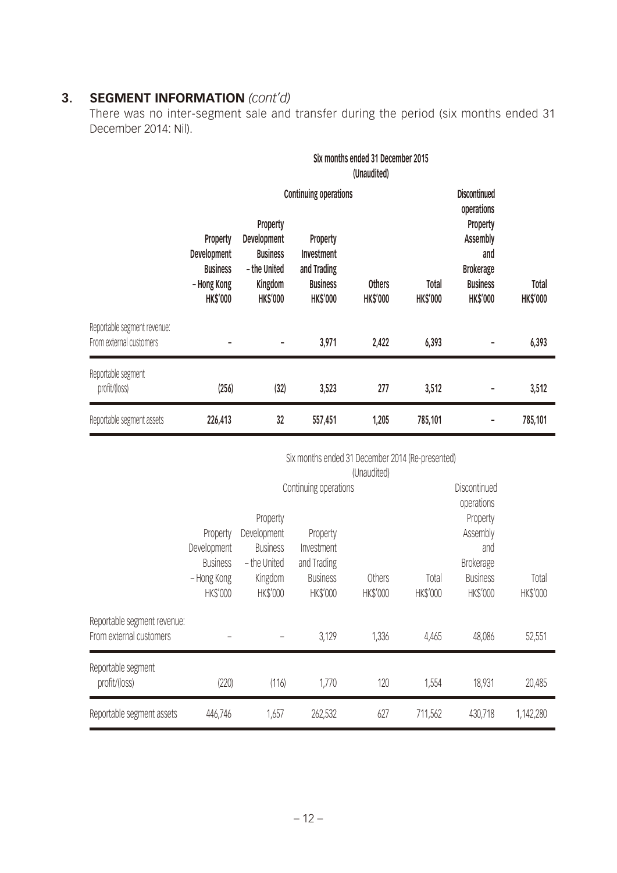## **3. SEGMENT INFORMATION** *(cont'd)*

There was no inter-segment sale and transfer during the period (six months ended 31 December 2014: Nil).

|                                                        |                                                                                     | Six months ended 31 December 2015<br>(Unaudited)                                                       |                                                                                                                           |                                  |                                                                                                                                          |                          |         |  |  |
|--------------------------------------------------------|-------------------------------------------------------------------------------------|--------------------------------------------------------------------------------------------------------|---------------------------------------------------------------------------------------------------------------------------|----------------------------------|------------------------------------------------------------------------------------------------------------------------------------------|--------------------------|---------|--|--|
|                                                        | <b>Property</b><br>Development<br><b>Business</b><br>- Hong Kong<br><b>HK\$'000</b> | <b>Property</b><br><b>Development</b><br><b>Business</b><br>- the United<br>Kingdom<br><b>HK\$'000</b> | <b>Continuing operations</b><br><b>Property</b><br><b>Investment</b><br>and Trading<br><b>Business</b><br><b>HK\$'000</b> | <b>Others</b><br><b>HK\$'000</b> | <b>Discontinued</b><br>operations<br><b>Property</b><br><b>Assembly</b><br>and<br><b>Brokerage</b><br><b>Business</b><br><b>HK\$'000</b> | Total<br><b>HK\$'000</b> |         |  |  |
| Reportable segment revenue:<br>From external customers | -                                                                                   | $\overline{a}$                                                                                         | 3,971                                                                                                                     | 2,422                            | 6,393                                                                                                                                    |                          | 6,393   |  |  |
| Reportable segment<br>profit/(loss)                    | (256)                                                                               | (32)                                                                                                   | 3,523                                                                                                                     | 277                              | 3,512                                                                                                                                    |                          | 3,512   |  |  |
| Reportable segment assets                              | 226,413                                                                             | 32                                                                                                     | 557,451                                                                                                                   | 1,205                            | 785,101                                                                                                                                  |                          | 785,101 |  |  |

| Six months ended 31 December 2014 (Re-presented) |
|--------------------------------------------------|
|--------------------------------------------------|

|                                                        |                 |                 |                       | (Unaudited) |              |                  |           |
|--------------------------------------------------------|-----------------|-----------------|-----------------------|-------------|--------------|------------------|-----------|
|                                                        |                 |                 | Continuing operations |             | Discontinued |                  |           |
|                                                        |                 |                 |                       |             | operations   |                  |           |
|                                                        |                 | Property        |                       |             |              | Property         |           |
|                                                        | Property        | Development     | Property              |             |              | Assembly         |           |
|                                                        | Development     | <b>Business</b> | Investment            |             |              | and              |           |
|                                                        | <b>Business</b> | - the United    | and Trading           |             |              | <b>Brokerage</b> |           |
|                                                        | - Hong Kong     | Kingdom         | <b>Business</b>       | Others      | Total        | <b>Business</b>  | Total     |
|                                                        | <b>HK\$'000</b> | <b>HK\$'000</b> | <b>HK\$'000</b>       | HK\$'000    | HK\$'000     | <b>HK\$'000</b>  | HK\$'000  |
| Reportable segment revenue:<br>From external customers |                 |                 | 3,129                 | 1,336       | 4,465        | 48,086           | 52,551    |
| Reportable segment<br>profit/(loss)                    | (220)           | (116)           | 1,770                 | 120         | 1,554        | 18,931           | 20,485    |
| Reportable segment assets                              | 446,746         | 1,657           | 262,532               | 627         | 711,562      | 430,718          | 1,142,280 |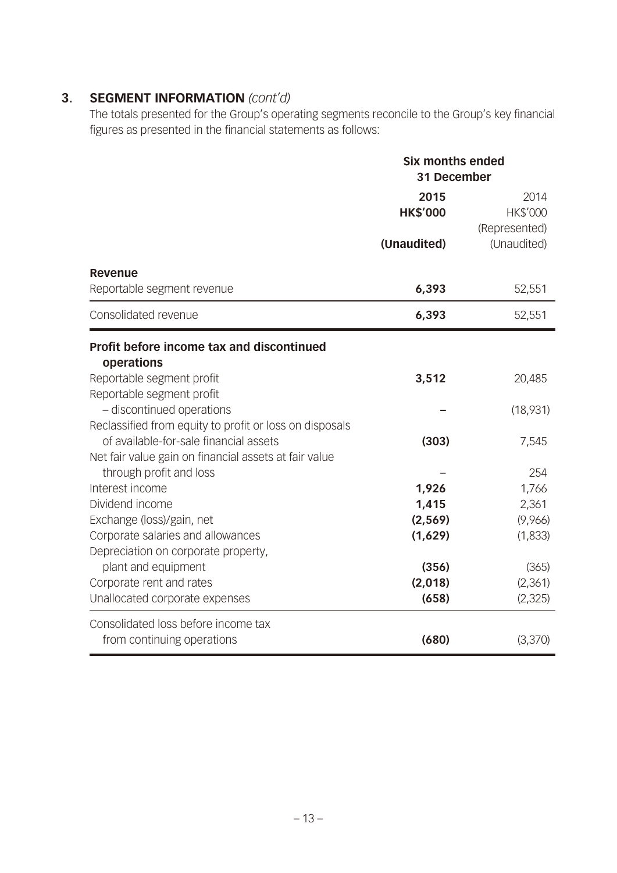## **3. SEGMENT INFORMATION** *(cont'd)*

The totals presented for the Group's operating segments reconcile to the Group's key financial figures as presented in the financial statements as follows:

|                                                                                                                   | <b>Six months ended</b><br>31 December |                                                  |
|-------------------------------------------------------------------------------------------------------------------|----------------------------------------|--------------------------------------------------|
|                                                                                                                   | 2015<br><b>HK\$'000</b><br>(Unaudited) | 2014<br>HK\$'000<br>(Represented)<br>(Unaudited) |
| <b>Revenue</b><br>Reportable segment revenue                                                                      | 6,393                                  | 52,551                                           |
| Consolidated revenue                                                                                              | 6,393                                  | 52,551                                           |
| Profit before income tax and discontinued<br>operations                                                           |                                        |                                                  |
| Reportable segment profit                                                                                         | 3,512                                  | 20,485                                           |
| Reportable segment profit<br>- discontinued operations<br>Reclassified from equity to profit or loss on disposals |                                        | (18,931)                                         |
| of available-for-sale financial assets<br>Net fair value gain on financial assets at fair value                   | (303)                                  | 7,545                                            |
| through profit and loss                                                                                           |                                        | 254                                              |
| Interest income                                                                                                   | 1,926                                  | 1,766                                            |
| Dividend income                                                                                                   | 1,415<br>(2, 569)                      | 2,361<br>(9,966)                                 |
| Exchange (loss)/gain, net<br>Corporate salaries and allowances                                                    | (1,629)                                | (1,833)                                          |
| Depreciation on corporate property,                                                                               |                                        |                                                  |
| plant and equipment                                                                                               | (356)                                  | (365)                                            |
| Corporate rent and rates                                                                                          | (2,018)                                | (2,361)                                          |
| Unallocated corporate expenses                                                                                    | (658)                                  | (2, 325)                                         |
| Consolidated loss before income tax                                                                               |                                        |                                                  |
| from continuing operations                                                                                        | (680)                                  | (3,370)                                          |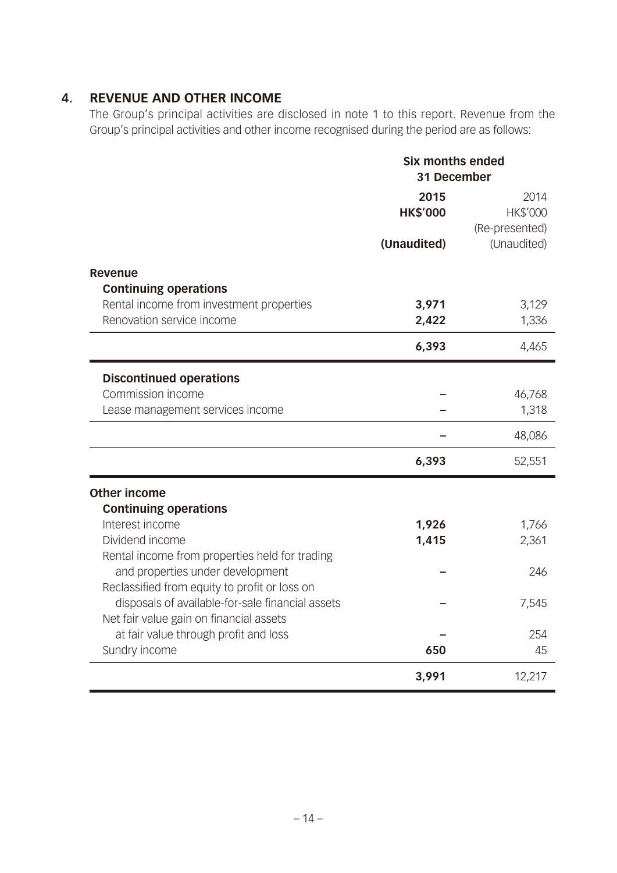## **4. REVENUE AND OTHER INCOME**

The Group's principal activities are disclosed in note 1 to this report. Revenue from the Group's principal activities and other income recognised during the period are as follows:

|                                                  | <b>Six months ended</b><br>31 December |                |
|--------------------------------------------------|----------------------------------------|----------------|
|                                                  | 2015                                   | 2014           |
|                                                  | <b>HK\$'000</b>                        | HK\$'000       |
|                                                  |                                        | (Re-presented) |
|                                                  | (Unaudited)                            | (Unaudited)    |
| <b>Revenue</b><br><b>Continuing operations</b>   |                                        |                |
| Rental income from investment properties         | 3,971                                  | 3,129          |
| Renovation service income                        | 2,422                                  | 1,336          |
|                                                  | 6,393                                  | 4,465          |
| <b>Discontinued operations</b>                   |                                        |                |
| Commission income                                |                                        | 46,768         |
| Lease management services income                 |                                        | 1,318          |
|                                                  |                                        | 48,086         |
|                                                  | 6,393                                  | 52,551         |
| <b>Other income</b>                              |                                        |                |
| <b>Continuing operations</b>                     |                                        |                |
| Interest income                                  | 1,926                                  | 1,766          |
| Dividend income                                  | 1,415                                  | 2,361          |
| Rental income from properties held for trading   |                                        |                |
| and properties under development                 |                                        | 246            |
| Reclassified from equity to profit or loss on    |                                        |                |
| disposals of available-for-sale financial assets |                                        | 7,545          |
| Net fair value gain on financial assets          |                                        |                |
| at fair value through profit and loss            |                                        | 254            |
| Sundry income                                    | 650                                    | 45             |
|                                                  | 3,991                                  | 12,217         |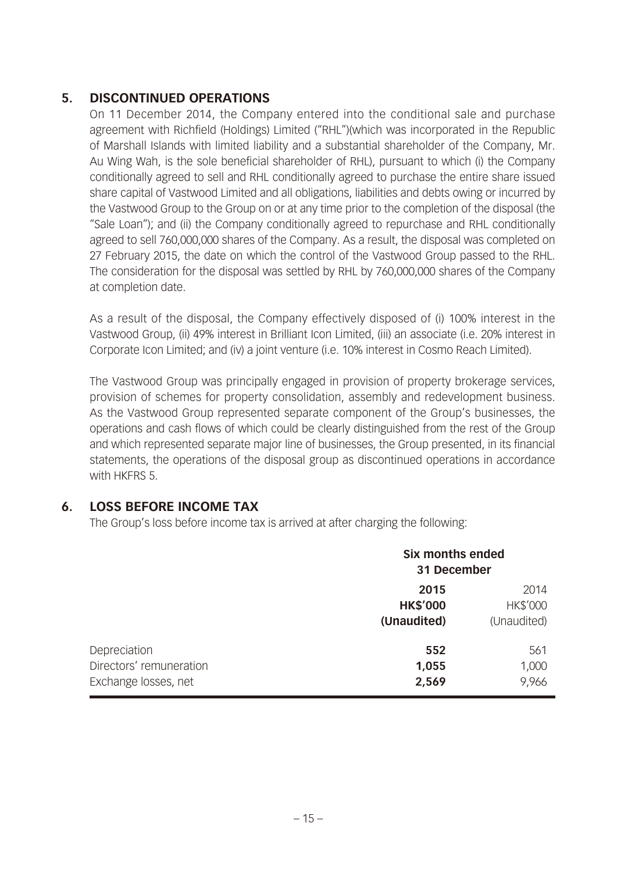## **5. DISCONTINUED OPERATIONS**

On 11 December 2014, the Company entered into the conditional sale and purchase agreement with Richfield (Holdings) Limited ("RHL")(which was incorporated in the Republic of Marshall Islands with limited liability and a substantial shareholder of the Company, Mr. Au Wing Wah, is the sole beneficial shareholder of RHL), pursuant to which (i) the Company conditionally agreed to sell and RHL conditionally agreed to purchase the entire share issued share capital of Vastwood Limited and all obligations, liabilities and debts owing or incurred by the Vastwood Group to the Group on or at any time prior to the completion of the disposal (the "Sale Loan"); and (ii) the Company conditionally agreed to repurchase and RHL conditionally agreed to sell 760,000,000 shares of the Company. As a result, the disposal was completed on 27 February 2015, the date on which the control of the Vastwood Group passed to the RHL. The consideration for the disposal was settled by RHL by 760,000,000 shares of the Company at completion date.

As a result of the disposal, the Company effectively disposed of (i) 100% interest in the Vastwood Group, (ii) 49% interest in Brilliant Icon Limited, (iii) an associate (i.e. 20% interest in Corporate Icon Limited; and (iv) a joint venture (i.e. 10% interest in Cosmo Reach Limited).

The Vastwood Group was principally engaged in provision of property brokerage services, provision of schemes for property consolidation, assembly and redevelopment business. As the Vastwood Group represented separate component of the Group's businesses, the operations and cash flows of which could be clearly distinguished from the rest of the Group and which represented separate major line of businesses, the Group presented, in its financial statements, the operations of the disposal group as discontinued operations in accordance with HKFRS 5.

## **6. LOSS BEFORE INCOME TAX**

The Group's loss before income tax is arrived at after charging the following:

|                                                                 | Six months ended<br>31 December        |                                        |
|-----------------------------------------------------------------|----------------------------------------|----------------------------------------|
|                                                                 | 2015<br><b>HK\$'000</b><br>(Unaudited) | 2014<br><b>HK\$'000</b><br>(Unaudited) |
| Depreciation<br>Directors' remuneration<br>Exchange losses, net | 552<br>1,055<br>2,569                  | 561<br>1,000<br>9,966                  |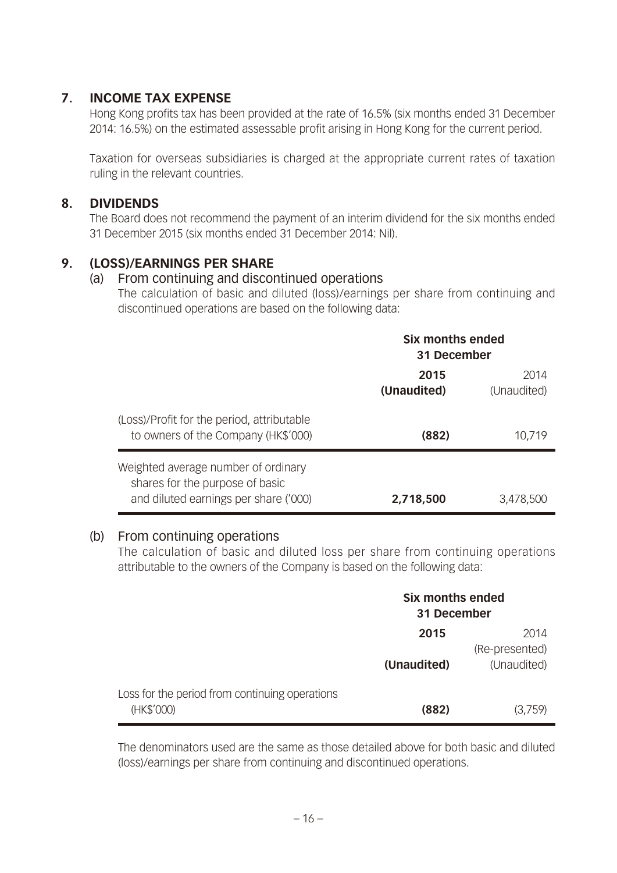#### **7. INCOME TAX EXPENSE**

Hong Kong profits tax has been provided at the rate of 16.5% (six months ended 31 December 2014: 16.5%) on the estimated assessable profit arising in Hong Kong for the current period.

Taxation for overseas subsidiaries is charged at the appropriate current rates of taxation ruling in the relevant countries.

#### **8. DIVIDENDS**

The Board does not recommend the payment of an interim dividend for the six months ended 31 December 2015 (six months ended 31 December 2014: Nil).

### **9. (LOSS)/EARNINGS PER SHARE**

#### (a) From continuing and discontinued operations

The calculation of basic and diluted (loss)/earnings per share from continuing and discontinued operations are based on the following data:

|                                                                                                                 | Six months ended<br>31 December |                     |
|-----------------------------------------------------------------------------------------------------------------|---------------------------------|---------------------|
|                                                                                                                 | 2015<br>(Unaudited)             | 2014<br>(Unaudited) |
| (Loss)/Profit for the period, attributable<br>to owners of the Company (HK\$'000)                               | (882)                           | 10,719              |
| Weighted average number of ordinary<br>shares for the purpose of basic<br>and diluted earnings per share ('000) | 2,718,500                       | 3,478,500           |

#### (b) From continuing operations

The calculation of basic and diluted loss per share from continuing operations attributable to the owners of the Company is based on the following data:

|                                                              | Six months ended<br>31 December |                        |
|--------------------------------------------------------------|---------------------------------|------------------------|
|                                                              | 2015                            | 2014<br>(Re-presented) |
|                                                              | (Unaudited)                     | (Unaudited)            |
| Loss for the period from continuing operations<br>(HK\$'000) | (882)                           | (3,759)                |

The denominators used are the same as those detailed above for both basic and diluted (loss)/earnings per share from continuing and discontinued operations.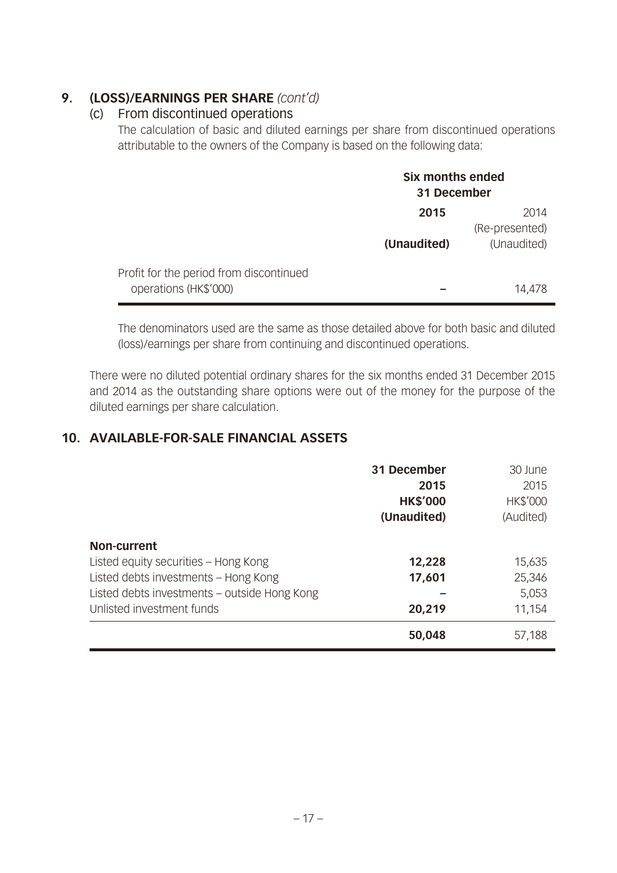## **9. (LOSS)/EARNINGS PER SHARE** *(cont'd)*

#### (c) From discontinued operations

The calculation of basic and diluted earnings per share from discontinued operations attributable to the owners of the Company is based on the following data:

|                                                                  | Six months ended<br>31 December |                               |
|------------------------------------------------------------------|---------------------------------|-------------------------------|
|                                                                  | 2015                            | 2014                          |
|                                                                  | (Unaudited)                     | (Re-presented)<br>(Unaudited) |
| Profit for the period from discontinued<br>operations (HK\$'000) |                                 | 14,478                        |

The denominators used are the same as those detailed above for both basic and diluted (loss)/earnings per share from continuing and discontinued operations.

There were no diluted potential ordinary shares for the six months ended 31 December 2015 and 2014 as the outstanding share options were out of the money for the purpose of the diluted earnings per share calculation.

## **10. AVAILABLE-FOR-SALE FINANCIAL ASSETS**

|                                              | 31 December     | 30 June         |
|----------------------------------------------|-----------------|-----------------|
|                                              | 2015            | 2015            |
|                                              | <b>HK\$'000</b> | <b>HK\$'000</b> |
|                                              | (Unaudited)     | (Audited)       |
| Non-current                                  |                 |                 |
| Listed equity securities - Hong Kong         | 12,228          | 15,635          |
| Listed debts investments - Hong Kong         | 17,601          | 25,346          |
| Listed debts investments - outside Hong Kong |                 | 5,053           |
| Unlisted investment funds                    | 20,219          | 11,154          |
|                                              | 50,048          | 57,188          |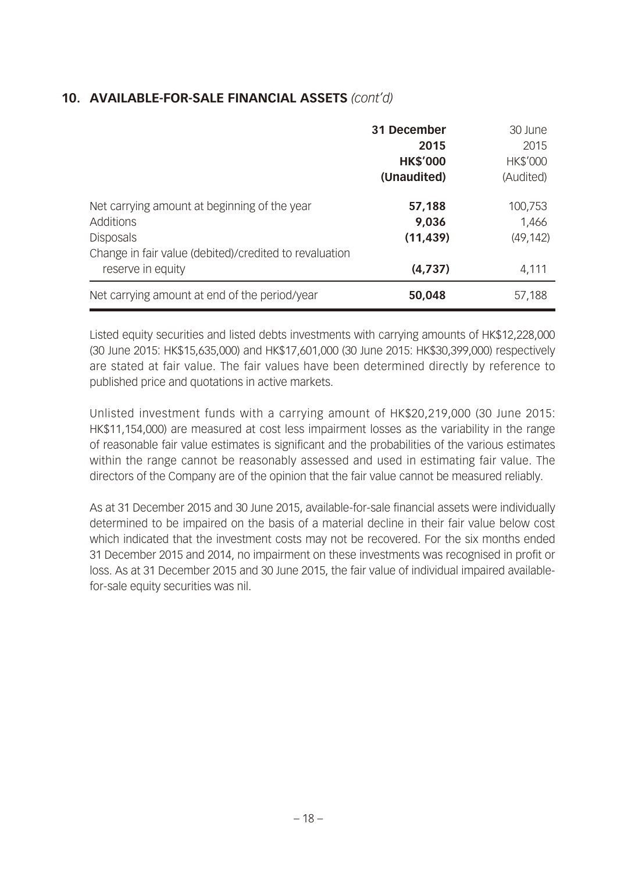#### **10. AVAILABLE-FOR-SALE FINANCIAL ASSETS** *(cont'd)*

|                                                                                                                                                              | 31 December<br>2015<br><b>HK\$'000</b><br>(Unaudited) | 30 June<br>2015<br><b>HK\$'000</b><br>(Audited) |
|--------------------------------------------------------------------------------------------------------------------------------------------------------------|-------------------------------------------------------|-------------------------------------------------|
| Net carrying amount at beginning of the year<br>Additions<br><b>Disposals</b><br>Change in fair value (debited)/credited to revaluation<br>reserve in equity | 57,188<br>9,036<br>(11, 439)<br>(4,737)               | 100,753<br>1,466<br>(49, 142)<br>4,111          |
| Net carrying amount at end of the period/year                                                                                                                | 50,048                                                | 57,188                                          |

Listed equity securities and listed debts investments with carrying amounts of HK\$12,228,000 (30 June 2015: HK\$15,635,000) and HK\$17,601,000 (30 June 2015: HK\$30,399,000) respectively are stated at fair value. The fair values have been determined directly by reference to published price and quotations in active markets.

Unlisted investment funds with a carrying amount of HK\$20,219,000 (30 June 2015: HK\$11,154,000) are measured at cost less impairment losses as the variability in the range of reasonable fair value estimates is significant and the probabilities of the various estimates within the range cannot be reasonably assessed and used in estimating fair value. The directors of the Company are of the opinion that the fair value cannot be measured reliably.

As at 31 December 2015 and 30 June 2015, available-for-sale financial assets were individually determined to be impaired on the basis of a material decline in their fair value below cost which indicated that the investment costs may not be recovered. For the six months ended 31 December 2015 and 2014, no impairment on these investments was recognised in profit or loss. As at 31 December 2015 and 30 June 2015, the fair value of individual impaired availablefor-sale equity securities was nil.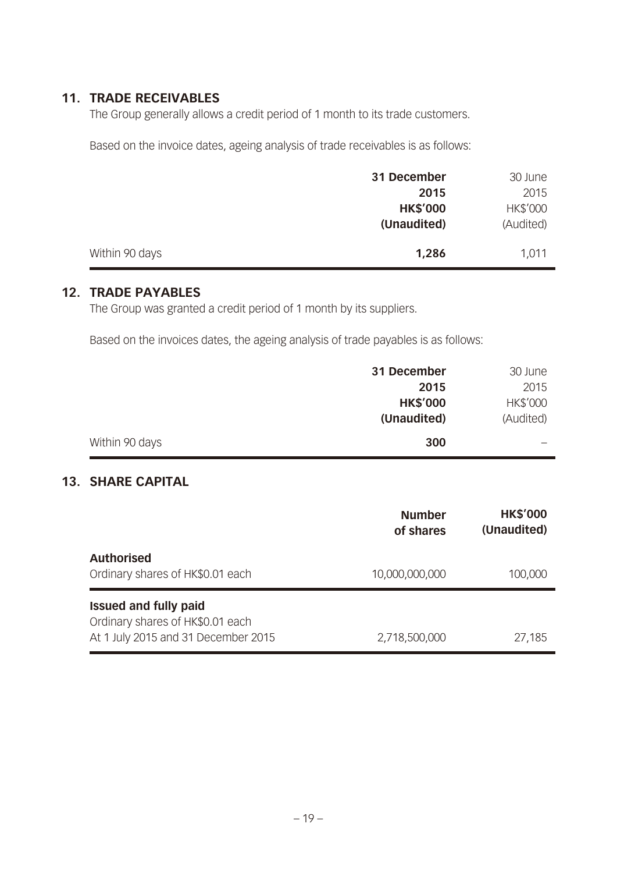#### **11. TRADE RECEIVABLES**

The Group generally allows a credit period of 1 month to its trade customers.

Based on the invoice dates, ageing analysis of trade receivables is as follows:

|                | 31 December     | 30 June   |
|----------------|-----------------|-----------|
|                | 2015            | 2015      |
|                | <b>HK\$'000</b> | HK\$'000  |
|                | (Unaudited)     | (Audited) |
|                |                 |           |
| Within 90 days | 1,286           | 1,011     |

#### **12. TRADE PAYABLES**

The Group was granted a credit period of 1 month by its suppliers.

Based on the invoices dates, the ageing analysis of trade payables is as follows:

|                | 31 December     | 30 June   |
|----------------|-----------------|-----------|
|                | 2015            | 2015      |
|                | <b>HK\$'000</b> | HK\$'000  |
|                | (Unaudited)     | (Audited) |
| Within 90 days | 300             |           |

#### **13. SHARE CAPITAL**

|                                                                                                         | <b>Number</b><br>of shares | <b>HK\$'000</b><br>(Unaudited) |
|---------------------------------------------------------------------------------------------------------|----------------------------|--------------------------------|
| <b>Authorised</b><br>Ordinary shares of HK\$0.01 each                                                   | 10,000,000,000             | 100,000                        |
| <b>Issued and fully paid</b><br>Ordinary shares of HK\$0.01 each<br>At 1 July 2015 and 31 December 2015 | 2,718,500,000              | 27,185                         |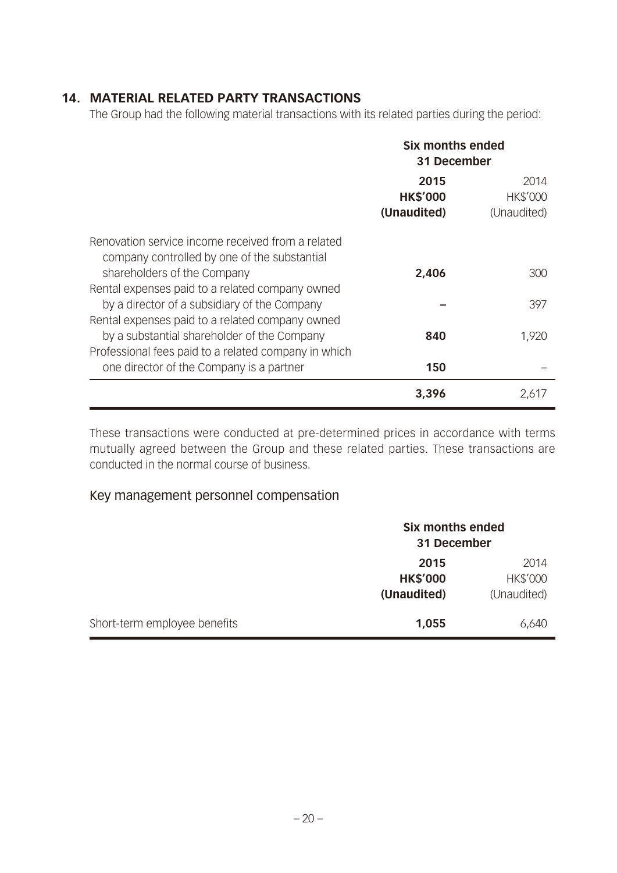### **14. MATERIAL RELATED PARTY TRANSACTIONS**

The Group had the following material transactions with its related parties during the period:

|                                                                                                   | Six months ended<br>31 December |             |
|---------------------------------------------------------------------------------------------------|---------------------------------|-------------|
|                                                                                                   | 2015                            | 2014        |
|                                                                                                   | <b>HK\$'000</b>                 | HK\$'000    |
|                                                                                                   | (Unaudited)                     | (Unaudited) |
| Renovation service income received from a related<br>company controlled by one of the substantial |                                 |             |
| shareholders of the Company                                                                       | 2,406                           | 300         |
| Rental expenses paid to a related company owned                                                   |                                 |             |
| by a director of a subsidiary of the Company                                                      |                                 | 397         |
| Rental expenses paid to a related company owned                                                   |                                 |             |
| by a substantial shareholder of the Company                                                       | 840                             | 1,920       |
| Professional fees paid to a related company in which                                              |                                 |             |
| one director of the Company is a partner                                                          | 150                             |             |
|                                                                                                   | 3,396                           | 2,61/       |

These transactions were conducted at pre-determined prices in accordance with terms mutually agreed between the Group and these related parties. These transactions are conducted in the normal course of business.

#### Key management personnel compensation

|                              |                 | Six months ended<br>31 December |  |
|------------------------------|-----------------|---------------------------------|--|
|                              | 2015            | 2014                            |  |
|                              | <b>HK\$'000</b> | HK\$'000                        |  |
|                              | (Unaudited)     | (Unaudited)                     |  |
| Short-term employee benefits | 1,055           | 6,640                           |  |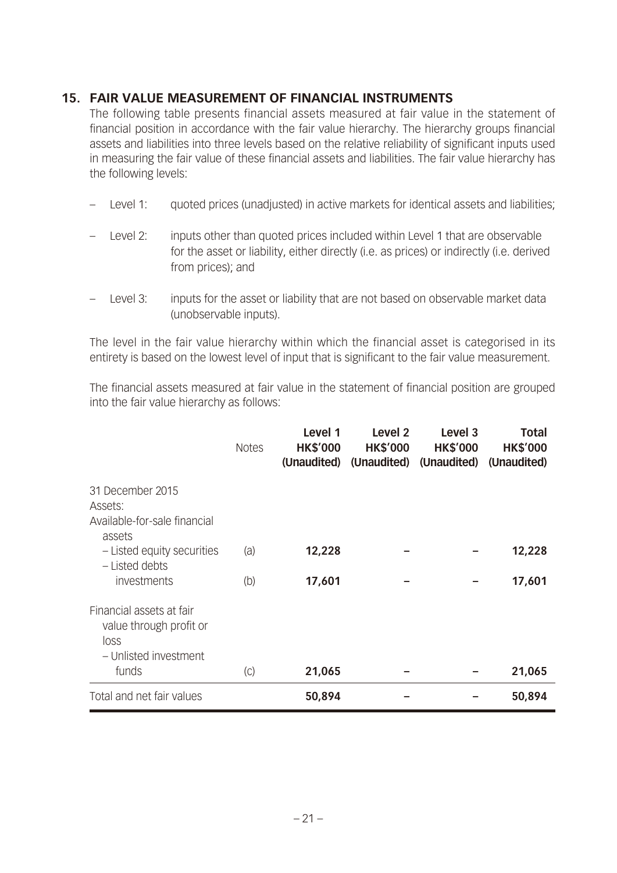#### **15. FAIR VALUE MEASUREMENT OF FINANCIAL INSTRUMENTS**

The following table presents financial assets measured at fair value in the statement of financial position in accordance with the fair value hierarchy. The hierarchy groups financial assets and liabilities into three levels based on the relative reliability of significant inputs used in measuring the fair value of these financial assets and liabilities. The fair value hierarchy has the following levels:

- Level 1: quoted prices (unadjusted) in active markets for identical assets and liabilities;
- Level 2: inputs other than quoted prices included within Level 1 that are observable for the asset or liability, either directly (i.e. as prices) or indirectly (i.e. derived from prices); and
- Level 3: inputs for the asset or liability that are not based on observable market data (unobservable inputs).

The level in the fair value hierarchy within which the financial asset is categorised in its entirety is based on the lowest level of input that is significant to the fair value measurement.

The financial assets measured at fair value in the statement of financial position are grouped into the fair value hierarchy as follows:

|                                                                                      | <b>Notes</b> | Level 1<br><b>HK\$'000</b><br>(Unaudited) | Level 2<br><b>HK\$'000</b> | Level <sub>3</sub><br><b>HK\$'000</b><br>(Unaudited) (Unaudited) | <b>Total</b><br><b>HK\$'000</b><br>(Unaudited) |
|--------------------------------------------------------------------------------------|--------------|-------------------------------------------|----------------------------|------------------------------------------------------------------|------------------------------------------------|
| 31 December 2015<br>Assets:<br>Available-for-sale financial<br>assets                |              |                                           |                            |                                                                  |                                                |
| - Listed equity securities<br>- Listed debts                                         | (a)          | 12,228                                    |                            |                                                                  | 12,228                                         |
| investments                                                                          | (b)          | 17,601                                    |                            |                                                                  | 17,601                                         |
| Financial assets at fair<br>value through profit or<br>loss<br>- Unlisted investment |              |                                           |                            |                                                                  |                                                |
| funds                                                                                | (C)          | 21,065                                    |                            |                                                                  | 21,065                                         |
| Total and net fair values                                                            |              | 50,894                                    |                            |                                                                  | 50,894                                         |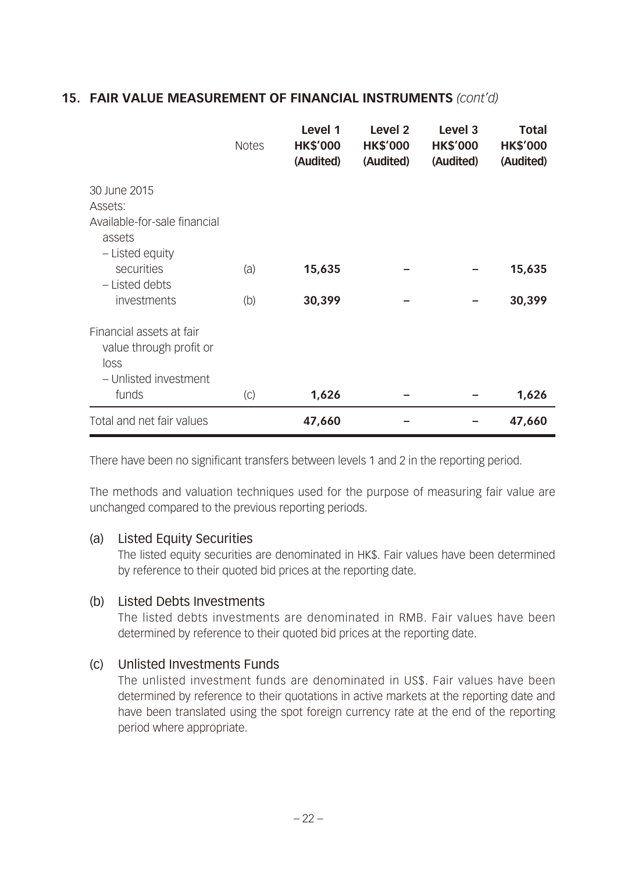### **15. FAIR VALUE MEASUREMENT OF FINANCIAL INSTRUMENTS** *(cont'd)*

|                                                                                      | <b>Notes</b> | Level 1<br><b>HK\$'000</b><br>(Audited) | Level <sub>2</sub><br><b>HK\$'000</b><br>(Audited) | Level <sub>3</sub><br><b>HK\$'000</b><br>(Audited) | <b>Total</b><br><b>HK\$'000</b><br>(Audited) |
|--------------------------------------------------------------------------------------|--------------|-----------------------------------------|----------------------------------------------------|----------------------------------------------------|----------------------------------------------|
| 30 June 2015                                                                         |              |                                         |                                                    |                                                    |                                              |
| Assets:                                                                              |              |                                         |                                                    |                                                    |                                              |
| Available-for-sale financial<br>assets                                               |              |                                         |                                                    |                                                    |                                              |
| - Listed equity                                                                      |              |                                         |                                                    |                                                    |                                              |
| securities                                                                           | (a)          | 15,635                                  |                                                    |                                                    | 15,635                                       |
| - Listed debts                                                                       |              |                                         |                                                    |                                                    |                                              |
| investments                                                                          | (b)          | 30,399                                  |                                                    |                                                    | 30,399                                       |
| Financial assets at fair<br>value through profit or<br>loss<br>- Unlisted investment |              |                                         |                                                    |                                                    |                                              |
|                                                                                      |              |                                         |                                                    |                                                    |                                              |
| funds                                                                                | (C)          | 1,626                                   |                                                    |                                                    | 1,626                                        |
| Total and net fair values                                                            |              | 47,660                                  |                                                    |                                                    | 47,660                                       |

There have been no significant transfers between levels 1 and 2 in the reporting period.

The methods and valuation techniques used for the purpose of measuring fair value are unchanged compared to the previous reporting periods.

#### (a) Listed Equity Securities

The listed equity securities are denominated in HK\$. Fair values have been determined by reference to their quoted bid prices at the reporting date.

#### (b) Listed Debts Investments

The listed debts investments are denominated in RMB. Fair values have been determined by reference to their quoted bid prices at the reporting date.

#### (c) Unlisted Investments Funds

The unlisted investment funds are denominated in US\$. Fair values have been determined by reference to their quotations in active markets at the reporting date and have been translated using the spot foreign currency rate at the end of the reporting period where appropriate.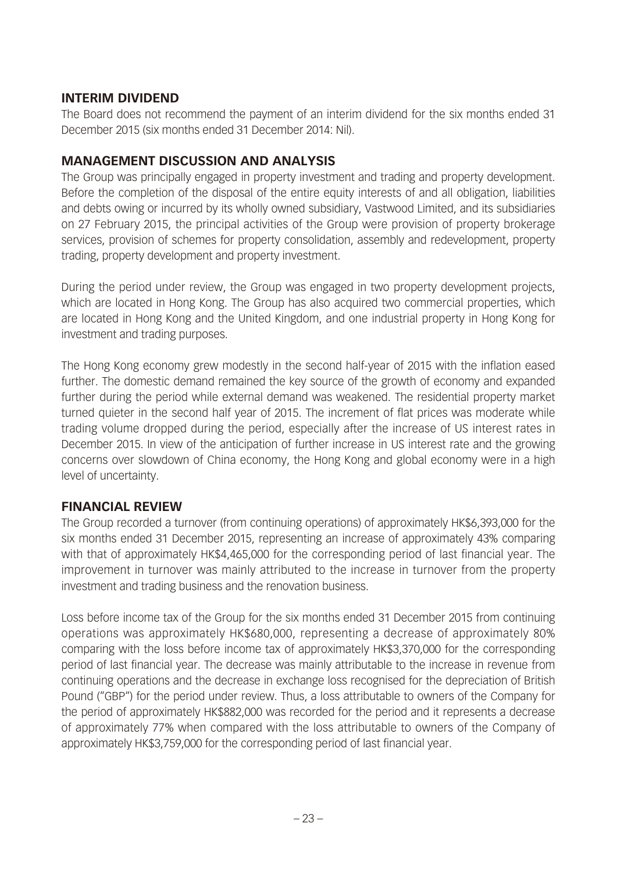#### **INTERIM DIVIDEND**

The Board does not recommend the payment of an interim dividend for the six months ended 31 December 2015 (six months ended 31 December 2014: Nil).

#### **MANAGEMENT DISCUSSION AND ANALYSIS**

The Group was principally engaged in property investment and trading and property development. Before the completion of the disposal of the entire equity interests of and all obligation, liabilities and debts owing or incurred by its wholly owned subsidiary, Vastwood Limited, and its subsidiaries on 27 February 2015, the principal activities of the Group were provision of property brokerage services, provision of schemes for property consolidation, assembly and redevelopment, property trading, property development and property investment.

During the period under review, the Group was engaged in two property development projects, which are located in Hong Kong. The Group has also acquired two commercial properties, which are located in Hong Kong and the United Kingdom, and one industrial property in Hong Kong for investment and trading purposes.

The Hong Kong economy grew modestly in the second half-year of 2015 with the inflation eased further. The domestic demand remained the key source of the growth of economy and expanded further during the period while external demand was weakened. The residential property market turned quieter in the second half year of 2015. The increment of flat prices was moderate while trading volume dropped during the period, especially after the increase of US interest rates in December 2015. In view of the anticipation of further increase in US interest rate and the growing concerns over slowdown of China economy, the Hong Kong and global economy were in a high level of uncertainty.

### **FINANCIAL REVIEW**

The Group recorded a turnover (from continuing operations) of approximately HK\$6,393,000 for the six months ended 31 December 2015, representing an increase of approximately 43% comparing with that of approximately HK\$4,465,000 for the corresponding period of last financial year. The improvement in turnover was mainly attributed to the increase in turnover from the property investment and trading business and the renovation business.

Loss before income tax of the Group for the six months ended 31 December 2015 from continuing operations was approximately HK\$680,000, representing a decrease of approximately 80% comparing with the loss before income tax of approximately HK\$3,370,000 for the corresponding period of last financial year. The decrease was mainly attributable to the increase in revenue from continuing operations and the decrease in exchange loss recognised for the depreciation of British Pound ("GBP") for the period under review. Thus, a loss attributable to owners of the Company for the period of approximately HK\$882,000 was recorded for the period and it represents a decrease of approximately 77% when compared with the loss attributable to owners of the Company of approximately HK\$3,759,000 for the corresponding period of last financial year.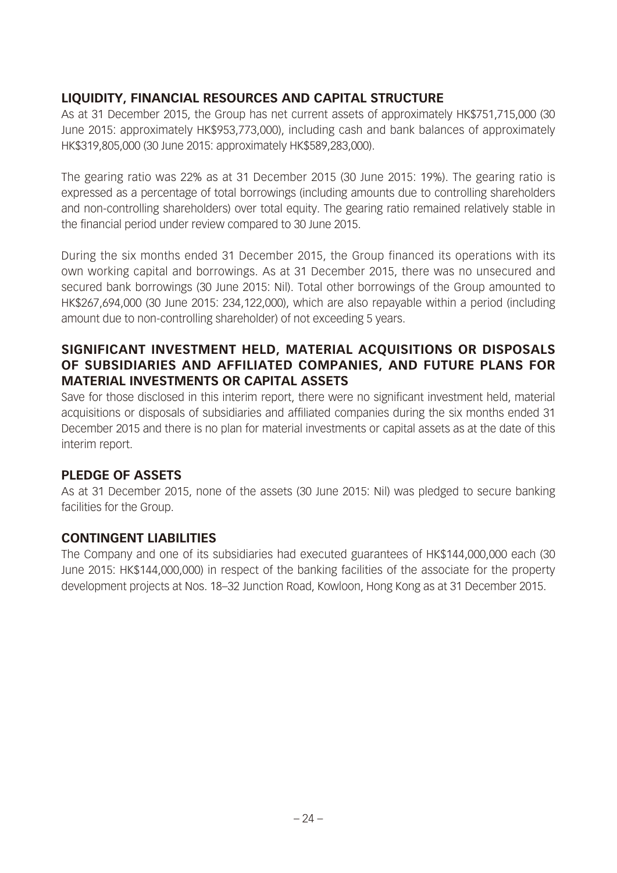## **LIQUIDITY, FINANCIAL RESOURCES AND CAPITAL STRUCTURE**

As at 31 December 2015, the Group has net current assets of approximately HK\$751,715,000 (30 June 2015: approximately HK\$953,773,000), including cash and bank balances of approximately HK\$319,805,000 (30 June 2015: approximately HK\$589,283,000).

The gearing ratio was 22% as at 31 December 2015 (30 June 2015: 19%). The gearing ratio is expressed as a percentage of total borrowings (including amounts due to controlling shareholders and non-controlling shareholders) over total equity. The gearing ratio remained relatively stable in the financial period under review compared to 30 June 2015.

During the six months ended 31 December 2015, the Group financed its operations with its own working capital and borrowings. As at 31 December 2015, there was no unsecured and secured bank borrowings (30 June 2015: Nil). Total other borrowings of the Group amounted to HK\$267,694,000 (30 June 2015: 234,122,000), which are also repayable within a period (including amount due to non-controlling shareholder) of not exceeding 5 years.

#### **SIGNIFICANT INVESTMENT HELD, MATERIAL ACQUISITIONS OR DISPOSALS OF SUBSIDIARIES AND AFFILIATED COMPANIES, AND FUTURE PLANS FOR MATERIAL INVESTMENTS OR CAPITAL ASSETS**

Save for those disclosed in this interim report, there were no significant investment held, material acquisitions or disposals of subsidiaries and affiliated companies during the six months ended 31 December 2015 and there is no plan for material investments or capital assets as at the date of this interim report.

### **PLEDGE OF ASSETS**

As at 31 December 2015, none of the assets (30 June 2015: Nil) was pledged to secure banking facilities for the Group.

### **CONTINGENT LIABILITIES**

The Company and one of its subsidiaries had executed guarantees of HK\$144,000,000 each (30 June 2015: HK\$144,000,000) in respect of the banking facilities of the associate for the property development projects at Nos. 18–32 Junction Road, Kowloon, Hong Kong as at 31 December 2015.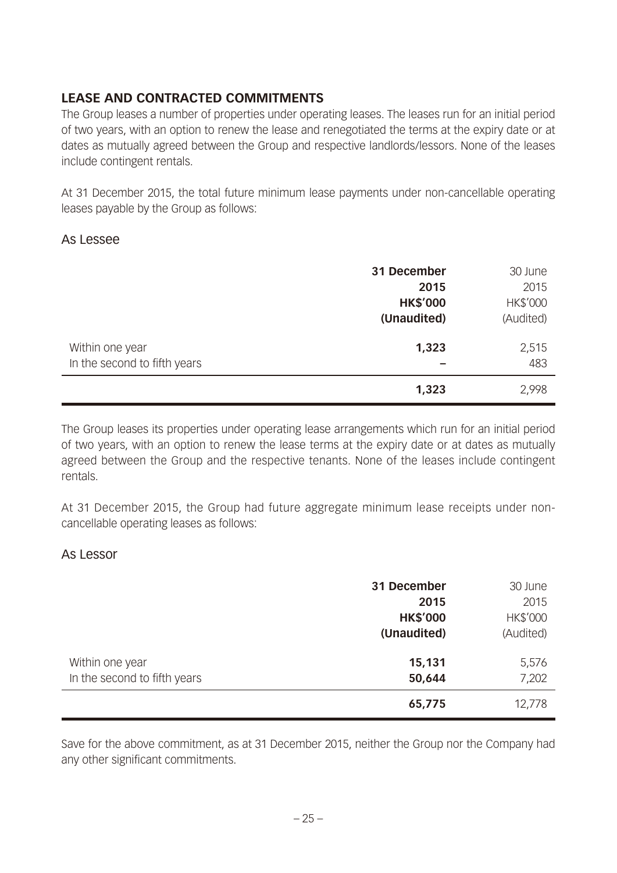## **LEASE AND CONTRACTED COMMITMENTS**

The Group leases a number of properties under operating leases. The leases run for an initial period of two years, with an option to renew the lease and renegotiated the terms at the expiry date or at dates as mutually agreed between the Group and respective landlords/lessors. None of the leases include contingent rentals.

At 31 December 2015, the total future minimum lease payments under non-cancellable operating leases payable by the Group as follows:

#### As Lessee

|                                                 | 31 December     | 30 June      |
|-------------------------------------------------|-----------------|--------------|
|                                                 | 2015            | 2015         |
|                                                 | <b>HK\$'000</b> | HK\$'000     |
|                                                 | (Unaudited)     | (Audited)    |
| Within one year<br>In the second to fifth years | 1,323           | 2,515<br>483 |
|                                                 | 1,323           | 2,998        |

The Group leases its properties under operating lease arrangements which run for an initial period of two years, with an option to renew the lease terms at the expiry date or at dates as mutually agreed between the Group and the respective tenants. None of the leases include contingent rentals.

At 31 December 2015, the Group had future aggregate minimum lease receipts under noncancellable operating leases as follows:

#### As Lessor

|                                                 | 31 December<br>2015<br><b>HK\$'000</b><br>(Unaudited) | 30 June<br>2015<br>HK\$'000<br>(Audited) |
|-------------------------------------------------|-------------------------------------------------------|------------------------------------------|
| Within one year<br>In the second to fifth years | 15,131<br>50,644                                      | 5,576<br>7,202                           |
|                                                 | 65,775                                                | 12,778                                   |

Save for the above commitment, as at 31 December 2015, neither the Group nor the Company had any other significant commitments.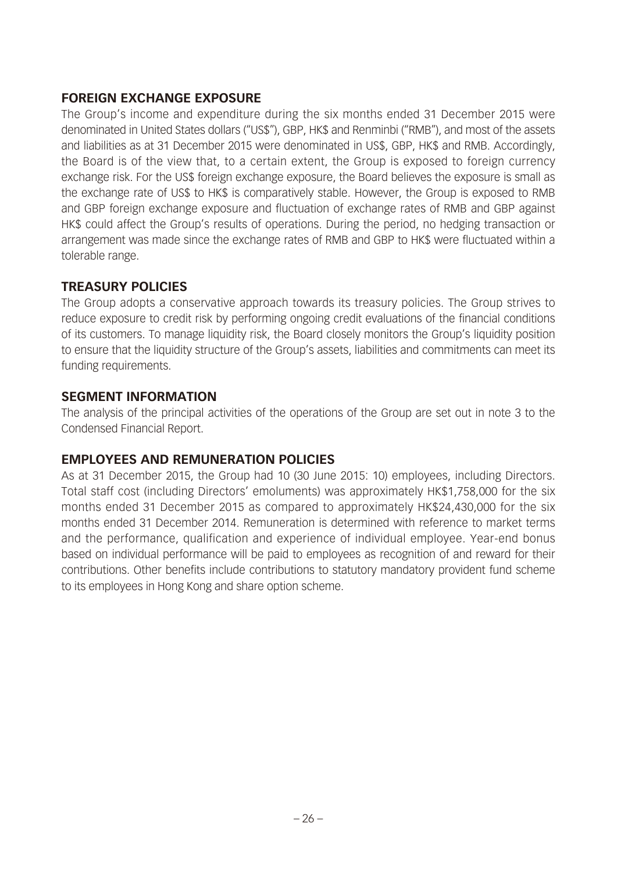## **FOREIGN EXCHANGE EXPOSURE**

The Group's income and expenditure during the six months ended 31 December 2015 were denominated in United States dollars ("US\$"), GBP, HK\$ and Renminbi ("RMB"), and most of the assets and liabilities as at 31 December 2015 were denominated in US\$, GBP, HK\$ and RMB. Accordingly, the Board is of the view that, to a certain extent, the Group is exposed to foreign currency exchange risk. For the US\$ foreign exchange exposure, the Board believes the exposure is small as the exchange rate of US\$ to HK\$ is comparatively stable. However, the Group is exposed to RMB and GBP foreign exchange exposure and fluctuation of exchange rates of RMB and GBP against HK\$ could affect the Group's results of operations. During the period, no hedging transaction or arrangement was made since the exchange rates of RMB and GBP to HK\$ were fluctuated within a tolerable range.

## **TREASURY POLICIES**

The Group adopts a conservative approach towards its treasury policies. The Group strives to reduce exposure to credit risk by performing ongoing credit evaluations of the financial conditions of its customers. To manage liquidity risk, the Board closely monitors the Group's liquidity position to ensure that the liquidity structure of the Group's assets, liabilities and commitments can meet its funding requirements.

### **SEGMENT INFORMATION**

The analysis of the principal activities of the operations of the Group are set out in note 3 to the Condensed Financial Report.

## **EMPLOYEES AND REMUNERATION POLICIES**

As at 31 December 2015, the Group had 10 (30 June 2015: 10) employees, including Directors. Total staff cost (including Directors' emoluments) was approximately HK\$1,758,000 for the six months ended 31 December 2015 as compared to approximately HK\$24,430,000 for the six months ended 31 December 2014. Remuneration is determined with reference to market terms and the performance, qualification and experience of individual employee. Year-end bonus based on individual performance will be paid to employees as recognition of and reward for their contributions. Other benefits include contributions to statutory mandatory provident fund scheme to its employees in Hong Kong and share option scheme.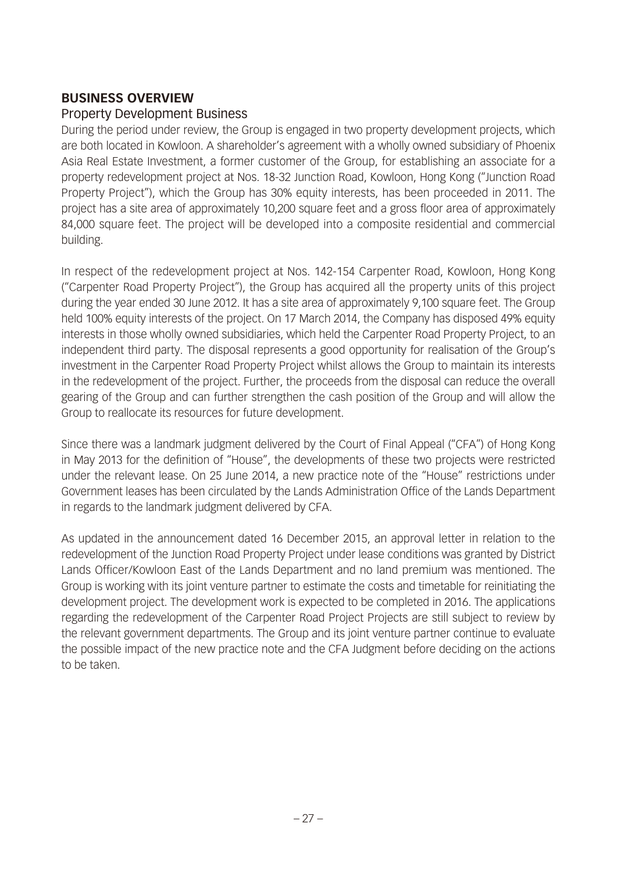#### **BUSINESS OVERVIEW**

#### Property Development Business

During the period under review, the Group is engaged in two property development projects, which are both located in Kowloon. A shareholder's agreement with a wholly owned subsidiary of Phoenix Asia Real Estate Investment, a former customer of the Group, for establishing an associate for a property redevelopment project at Nos. 18-32 Junction Road, Kowloon, Hong Kong ("Junction Road Property Project"), which the Group has 30% equity interests, has been proceeded in 2011. The project has a site area of approximately 10,200 square feet and a gross floor area of approximately 84,000 square feet. The project will be developed into a composite residential and commercial building.

In respect of the redevelopment project at Nos. 142-154 Carpenter Road, Kowloon, Hong Kong ("Carpenter Road Property Project"), the Group has acquired all the property units of this project during the year ended 30 June 2012. It has a site area of approximately 9,100 square feet. The Group held 100% equity interests of the project. On 17 March 2014, the Company has disposed 49% equity interests in those wholly owned subsidiaries, which held the Carpenter Road Property Project, to an independent third party. The disposal represents a good opportunity for realisation of the Group's investment in the Carpenter Road Property Project whilst allows the Group to maintain its interests in the redevelopment of the project. Further, the proceeds from the disposal can reduce the overall gearing of the Group and can further strengthen the cash position of the Group and will allow the Group to reallocate its resources for future development.

Since there was a landmark judgment delivered by the Court of Final Appeal ("CFA") of Hong Kong in May 2013 for the definition of "House", the developments of these two projects were restricted under the relevant lease. On 25 June 2014, a new practice note of the "House" restrictions under Government leases has been circulated by the Lands Administration Office of the Lands Department in regards to the landmark judgment delivered by CFA.

As updated in the announcement dated 16 December 2015, an approval letter in relation to the redevelopment of the Junction Road Property Project under lease conditions was granted by District Lands Officer/Kowloon East of the Lands Department and no land premium was mentioned. The Group is working with its joint venture partner to estimate the costs and timetable for reinitiating the development project. The development work is expected to be completed in 2016. The applications regarding the redevelopment of the Carpenter Road Project Projects are still subject to review by the relevant government departments. The Group and its joint venture partner continue to evaluate the possible impact of the new practice note and the CFA Judgment before deciding on the actions to be taken.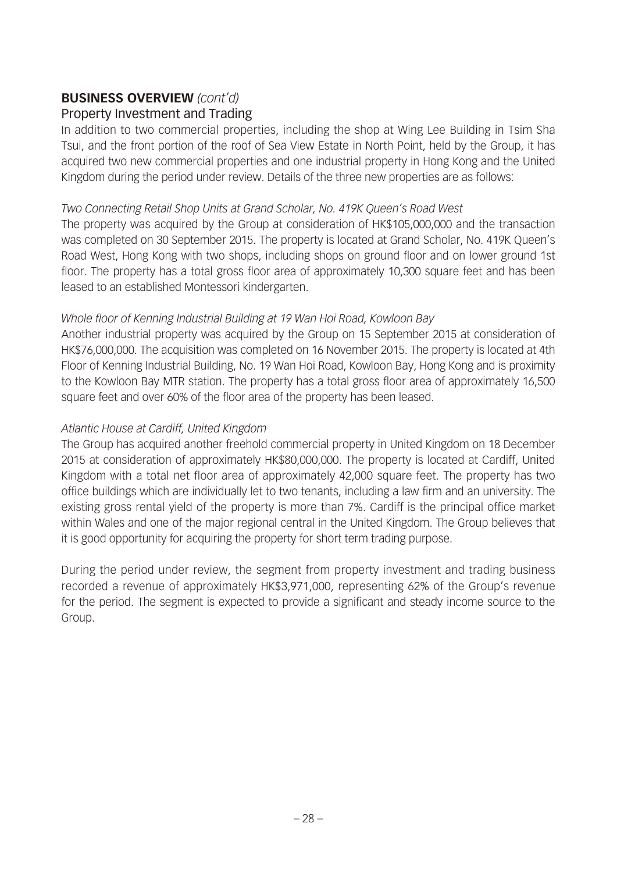# **BUSINESS OVERVIEW** *(cont'd)*

## Property Investment and Trading

In addition to two commercial properties, including the shop at Wing Lee Building in Tsim Sha Tsui, and the front portion of the roof of Sea View Estate in North Point, held by the Group, it has acquired two new commercial properties and one industrial property in Hong Kong and the United Kingdom during the period under review. Details of the three new properties are as follows:

#### *Two Connecting Retail Shop Units at Grand Scholar, No. 419K Queen's Road West*

The property was acquired by the Group at consideration of HK\$105,000,000 and the transaction was completed on 30 September 2015. The property is located at Grand Scholar, No. 419K Queen's Road West, Hong Kong with two shops, including shops on ground floor and on lower ground 1st floor. The property has a total gross floor area of approximately 10,300 square feet and has been leased to an established Montessori kindergarten.

### *Whole floor of Kenning Industrial Building at 19 Wan Hoi Road, Kowloon Bay*

Another industrial property was acquired by the Group on 15 September 2015 at consideration of HK\$76,000,000. The acquisition was completed on 16 November 2015. The property is located at 4th Floor of Kenning Industrial Building, No. 19 Wan Hoi Road, Kowloon Bay, Hong Kong and is proximity to the Kowloon Bay MTR station. The property has a total gross floor area of approximately 16,500 square feet and over 60% of the floor area of the property has been leased.

#### *Atlantic House at Cardiff, United Kingdom*

The Group has acquired another freehold commercial property in United Kingdom on 18 December 2015 at consideration of approximately HK\$80,000,000. The property is located at Cardiff, United Kingdom with a total net floor area of approximately 42,000 square feet. The property has two office buildings which are individually let to two tenants, including a law firm and an university. The existing gross rental yield of the property is more than 7%. Cardiff is the principal office market within Wales and one of the major regional central in the United Kingdom. The Group believes that it is good opportunity for acquiring the property for short term trading purpose.

During the period under review, the segment from property investment and trading business recorded a revenue of approximately HK\$3,971,000, representing 62% of the Group's revenue for the period. The segment is expected to provide a significant and steady income source to the Group.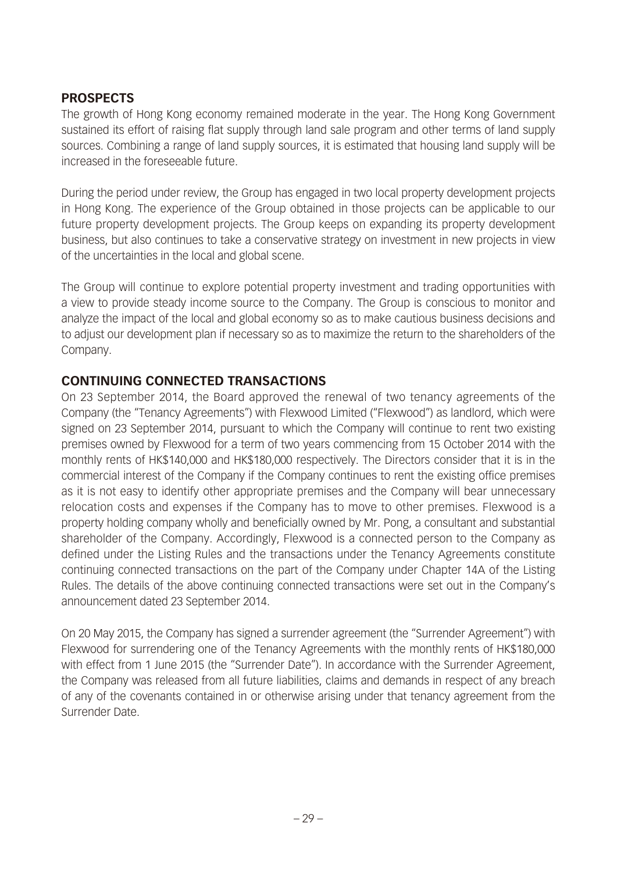## **PROSPECTS**

The growth of Hong Kong economy remained moderate in the year. The Hong Kong Government sustained its effort of raising flat supply through land sale program and other terms of land supply sources. Combining a range of land supply sources, it is estimated that housing land supply will be increased in the foreseeable future.

During the period under review, the Group has engaged in two local property development projects in Hong Kong. The experience of the Group obtained in those projects can be applicable to our future property development projects. The Group keeps on expanding its property development business, but also continues to take a conservative strategy on investment in new projects in view of the uncertainties in the local and global scene.

The Group will continue to explore potential property investment and trading opportunities with a view to provide steady income source to the Company. The Group is conscious to monitor and analyze the impact of the local and global economy so as to make cautious business decisions and to adjust our development plan if necessary so as to maximize the return to the shareholders of the Company.

### **CONTINUING CONNECTED TRANSACTIONS**

On 23 September 2014, the Board approved the renewal of two tenancy agreements of the Company (the "Tenancy Agreements") with Flexwood Limited ("Flexwood") as landlord, which were signed on 23 September 2014, pursuant to which the Company will continue to rent two existing premises owned by Flexwood for a term of two years commencing from 15 October 2014 with the monthly rents of HK\$140,000 and HK\$180,000 respectively. The Directors consider that it is in the commercial interest of the Company if the Company continues to rent the existing office premises as it is not easy to identify other appropriate premises and the Company will bear unnecessary relocation costs and expenses if the Company has to move to other premises. Flexwood is a property holding company wholly and beneficially owned by Mr. Pong, a consultant and substantial shareholder of the Company. Accordingly, Flexwood is a connected person to the Company as defined under the Listing Rules and the transactions under the Tenancy Agreements constitute continuing connected transactions on the part of the Company under Chapter 14A of the Listing Rules. The details of the above continuing connected transactions were set out in the Company's announcement dated 23 September 2014.

On 20 May 2015, the Company has signed a surrender agreement (the "Surrender Agreement") with Flexwood for surrendering one of the Tenancy Agreements with the monthly rents of HK\$180,000 with effect from 1 June 2015 (the "Surrender Date"). In accordance with the Surrender Agreement, the Company was released from all future liabilities, claims and demands in respect of any breach of any of the covenants contained in or otherwise arising under that tenancy agreement from the Surrender Date.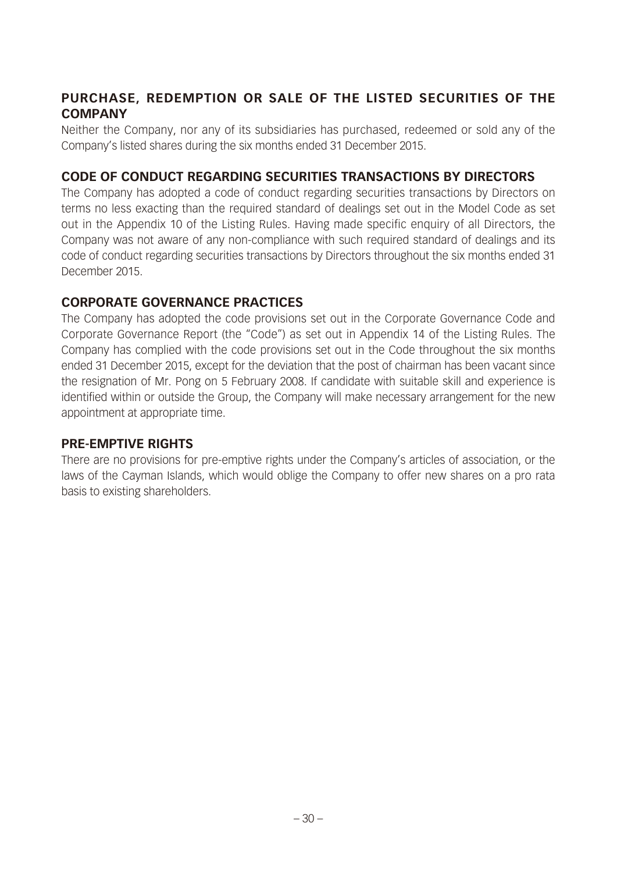## **PURCHASE, REDEMPTION OR SALE OF THE LISTED SECURITIES OF THE COMPANY**

Neither the Company, nor any of its subsidiaries has purchased, redeemed or sold any of the Company's listed shares during the six months ended 31 December 2015.

## **CODE OF CONDUCT REGARDING SECURITIES TRANSACTIONS BY DIRECTORS**

The Company has adopted a code of conduct regarding securities transactions by Directors on terms no less exacting than the required standard of dealings set out in the Model Code as set out in the Appendix 10 of the Listing Rules. Having made specific enquiry of all Directors, the Company was not aware of any non-compliance with such required standard of dealings and its code of conduct regarding securities transactions by Directors throughout the six months ended 31 December 2015.

### **CORPORATE GOVERNANCE PRACTICES**

The Company has adopted the code provisions set out in the Corporate Governance Code and Corporate Governance Report (the "Code") as set out in Appendix 14 of the Listing Rules. The Company has complied with the code provisions set out in the Code throughout the six months ended 31 December 2015, except for the deviation that the post of chairman has been vacant since the resignation of Mr. Pong on 5 February 2008. If candidate with suitable skill and experience is identified within or outside the Group, the Company will make necessary arrangement for the new appointment at appropriate time.

## **PRE-EMPTIVE RIGHTS**

There are no provisions for pre-emptive rights under the Company's articles of association, or the laws of the Cayman Islands, which would oblige the Company to offer new shares on a pro rata basis to existing shareholders.